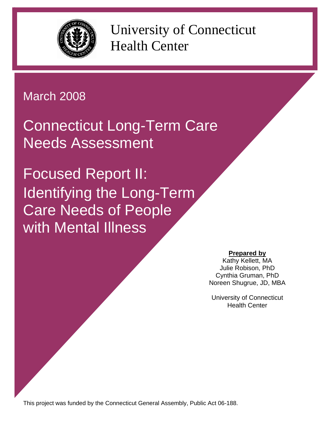

University of Connecticut Health Center

# March 2008

Connecticut Long-Term Care Needs Assessment

Focused Report II: Identifying the Long-Term Care Needs of People with Mental Illness

## **Prepared by**

Kathy Kellett, MA Julie Robison, PhD Cynthia Gruman, PhD Noreen Shugrue, JD, MBA

University of Connecticut Health Center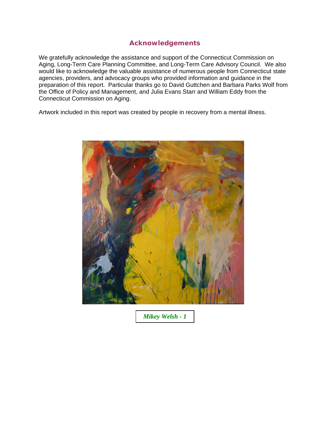#### **Acknowledgements**

We gratefully acknowledge the assistance and support of the Connecticut Commission on Aging, Long-Term Care Planning Committee, and Long-Term Care Advisory Council. We also would like to acknowledge the valuable assistance of numerous people from Connecticut state agencies, providers, and advocacy groups who provided information and guidance in the preparation of this report. Particular thanks go to David Guttchen and Barbara Parks Wolf from the Office of Policy and Management, and Julia Evans Starr and William Eddy from the Connecticut Commission on Aging.

Artwork included in this report was created by people in recovery from a mental illness.



*Mikey Welsh - 1*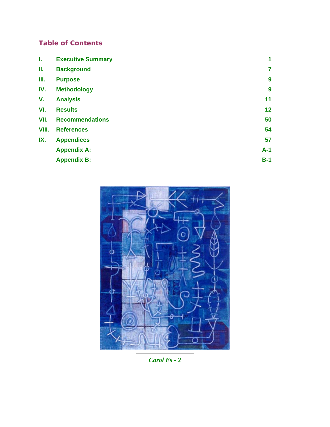# **Table of Contents**

| <b>Executive Summary</b> | $\overline{1}$ |
|--------------------------|----------------|
| <b>Background</b>        | $\overline{7}$ |
| <b>Purpose</b>           | 9              |
| <b>Methodology</b>       | 9              |
| <b>Analysis</b>          | 11             |
| <b>Results</b>           | 12             |
| <b>Recommendations</b>   | 50             |
| <b>References</b>        | 54             |
| <b>Appendices</b>        | 57             |
| <b>Appendix A:</b>       | $A-1$          |
| <b>Appendix B:</b>       | $B-1$          |
|                          |                |



*Carol Es - 2*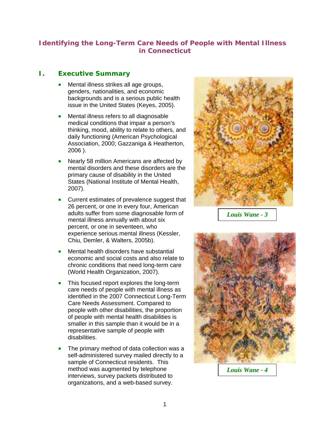## **Identifying the Long-Term Care Needs of People with Mental Illness in Connecticut**

## **I. Executive Summary**

- Mental illness strikes all age groups, genders, nationalities, and economic backgrounds and is a serious public health issue in the United States (Keyes, 2005).
- Mental illness refers to all diagnosable medical conditions that impair a person's thinking, mood, ability to relate to others, and daily functioning (American Psychological Association, 2000; Gazzaniga & Heatherton, 2006 ).
- Nearly 58 million Americans are affected by mental disorders and these disorders are the primary cause of disability in the United States (National Institute of Mental Health, 2007).
- Current estimates of prevalence suggest that 26 percent, or one in every four, American adults suffer from some diagnosable form of mental illness annually with about six percent, or one in seventeen, who experience serious mental illness (Kessler, Chiu, Demler, & Walters, 2005b).
- Mental health disorders have substantial economic and social costs and also relate to chronic conditions that need long-term care (World Health Organization, 2007).
- This focused report explores the long-term care needs of people with mental illness as identified in the 2007 Connecticut Long-Term Care Needs Assessment. Compared to people with other disabilities, the proportion of people with mental health disabilities is smaller in this sample than it would be in a representative sample of people with disabilities.
- The primary method of data collection was a self-administered survey mailed directly to a sample of Connecticut residents. This method was augmented by telephone interviews, survey packets distributed to organizations, and a web-based survey.



*Louis Wane - 3* 



*Louis Wane - 4*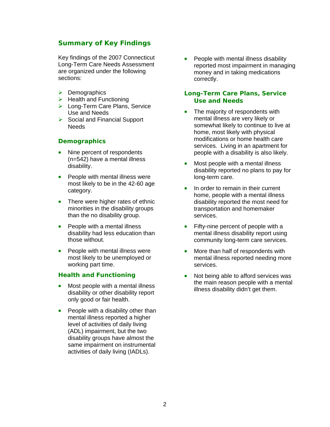#### **Summary of Key Findings**

Key findings of the 2007 Connecticut Long-Term Care Needs Assessment are organized under the following sections:

- $\triangleright$  Demographics
- $\blacktriangleright$  Health and Functioning
- $\triangleright$  Long-Term Care Plans, Service Use and Needs
- $\triangleright$  Social and Financial Support Needs

#### **Demographics**

- Nine percent of respondents (n=542) have a mental illness disability.
- People with mental illness were most likely to be in the 42-60 age category.
- There were higher rates of ethnic minorities in the disability groups than the no disability group.
- People with a mental illness disability had less education than those without.
- People with mental illness were most likely to be unemployed or working part time.

#### **Health and Functioning**

- Most people with a mental illness disability or other disability report only good or fair health.
- People with a disability other than mental illness reported a higher level of activities of daily living (ADL) impairment, but the two disability groups have almost the same impairment on instrumental activities of daily living (IADLs).

• People with mental illness disability reported most impairment in managing money and in taking medications correctly.

#### **Long-Term Care Plans, Service Use and Needs**

- The majority of respondents with mental illness are very likely or somewhat likely to continue to live at home, most likely with physical modifications or home health care services. Living in an apartment for people with a disability is also likely.
- Most people with a mental illness disability reported no plans to pay for long-term care.
- In order to remain in their current home, people with a mental illness disability reported the most need for transportation and homemaker services.
- Fifty-nine percent of people with a mental illness disability report using community long-term care services.
- More than half of respondents with mental illness reported needing more services.
- Not being able to afford services was the main reason people with a mental illness disability didn't get them.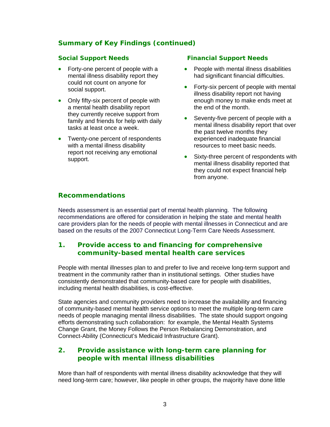## **Summary of Key Findings (continued)**

#### **Social Support Needs**

- Forty-one percent of people with a mental illness disability report they could not count on anyone for social support.
- Only fifty-six percent of people with a mental health disability report they currently receive support from family and friends for help with daily tasks at least once a week.
- Twenty-one percent of respondents with a mental illness disability report not receiving any emotional support.

#### **Financial Support Needs**

- People with mental illness disabilities had significant financial difficulties.
- Forty-six percent of people with mental illness disability report not having enough money to make ends meet at the end of the month.
- Seventy-five percent of people with a mental illness disability report that over the past twelve months they experienced inadequate financial resources to meet basic needs.
- Sixty-three percent of respondents with mental illness disability reported that they could not expect financial help from anyone.

## **Recommendations**

Needs assessment is an essential part of mental health planning. The following recommendations are offered for consideration in helping the state and mental health care providers plan for the needs of people with mental illnesses in Connecticut and are based on the results of the 2007 Connecticut Long-Term Care Needs Assessment.

## **1. Provide access to and financing for comprehensive community-based mental health care services**

People with mental illnesses plan to and prefer to live and receive long-term support and treatment in the community rather than in institutional settings. Other studies have consistently demonstrated that community-based care for people with disabilities, including mental health disabilities, is cost-effective.

State agencies and community providers need to increase the availability and financing of community-based mental health service options to meet the multiple long-term care needs of people managing mental illness disabilities. The state should support ongoing efforts demonstrating such collaboration: for example, the Mental Health Systems Change Grant, the Money Follows the Person Rebalancing Demonstration, and Connect-Ability (Connecticut's Medicaid Infrastructure Grant).

## **2. Provide assistance with long-term care planning for people with mental illness disabilities**

More than half of respondents with mental illness disability acknowledge that they will need long-term care; however, like people in other groups, the majority have done little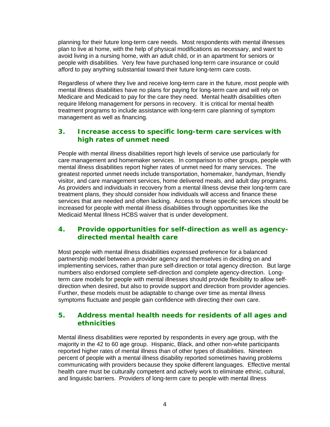planning for their future long-term care needs. Most respondents with mental illnesses plan to live at home, with the help of physical modifications as necessary, and want to avoid living in a nursing home, with an adult child, or in an apartment for seniors or people with disabilities. Very few have purchased long-term care insurance or could afford to pay anything substantial toward their future long-term care costs.

Regardless of where they live and receive long-term care in the future, most people with mental illness disabilities have no plans for paying for long-term care and will rely on Medicare and Medicaid to pay for the care they need. Mental health disabilities often require lifelong management for persons in recovery. It is critical for mental health treatment programs to include assistance with long-term care planning of symptom management as well as financing.

## **3. Increase access to specific long-term care services with high rates of unmet need**

People with mental illness disabilities report high levels of service use particularly for care management and homemaker services. In comparison to other groups, people with mental illness disabilities report higher rates of unmet need for many services. The greatest reported unmet needs include transportation, homemaker, handyman, friendly visitor, and care management services, home delivered meals, and adult day programs. As providers and individuals in recovery from a mental illness devise their long-term care treatment plans, they should consider how individuals will access and finance these services that are needed and often lacking. Access to these specific services should be increased for people with mental illness disabilities through opportunities like the Medicaid Mental Illness HCBS waiver that is under development.

#### **4. Provide opportunities for self-direction as well as agencydirected mental health care**

Most people with mental illness disabilities expressed preference for a balanced partnership model between a provider agency and themselves in deciding on and implementing services, rather than pure self-direction or total agency direction. But large numbers also endorsed complete self-direction and complete agency-direction. Longterm care models for people with mental illnesses should provide flexibility to allow selfdirection when desired, but also to provide support and direction from provider agencies. Further, these models must be adaptable to change over time as mental illness symptoms fluctuate and people gain confidence with directing their own care.

#### **5. Address mental health needs for residents of all ages and ethnicities**

Mental illness disabilities were reported by respondents in every age group, with the majority in the 42 to 60 age group. Hispanic, Black, and other non-white participants reported higher rates of mental illness than of other types of disabilities. Nineteen percent of people with a mental illness disability reported sometimes having problems communicating with providers because they spoke different languages. Effective mental health care must be culturally competent and actively work to eliminate ethnic, cultural, and linguistic barriers. Providers of long-term care to people with mental illness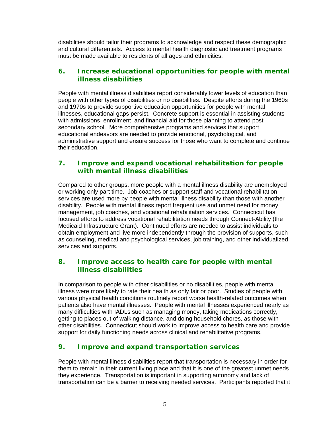disabilities should tailor their programs to acknowledge and respect these demographic and cultural differentials. Access to mental health diagnostic and treatment programs must be made available to residents of all ages and ethnicities.

## **6. Increase educational opportunities for people with mental illness disabilities**

People with mental illness disabilities report considerably lower levels of education than people with other types of disabilities or no disabilities. Despite efforts during the 1960s and 1970s to provide supportive education opportunities for people with mental illnesses, educational gaps persist. Concrete support is essential in assisting students with admissions, enrollment, and financial aid for those planning to attend post secondary school. More comprehensive programs and services that support educational endeavors are needed to provide emotional, psychological, and administrative support and ensure success for those who want to complete and continue their education.

#### **7. Improve and expand vocational rehabilitation for people with mental illness disabilities**

Compared to other groups, more people with a mental illness disability are unemployed or working only part time. Job coaches or support staff and vocational rehabilitation services are used more by people with mental illness disability than those with another disability. People with mental illness report frequent use and unmet need for money management, job coaches, and vocational rehabilitation services. Connecticut has focused efforts to address vocational rehabilitation needs through Connect-Ability (the Medicaid Infrastructure Grant). Continued efforts are needed to assist individuals to obtain employment and live more independently through the provision of supports, such as counseling, medical and psychological services, job training, and other individualized services and supports.

#### **8. Improve access to health care for people with mental illness disabilities**

In comparison to people with other disabilities or no disabilities, people with mental illness were more likely to rate their health as only fair or poor. Studies of people with various physical health conditions routinely report worse health-related outcomes when patients also have mental illnesses. People with mental illnesses experienced nearly as many difficulties with IADLs such as managing money, taking medications correctly, getting to places out of walking distance, and doing household chores, as those with other disabilities. Connecticut should work to improve access to health care and provide support for daily functioning needs across clinical and rehabilitative programs.

## **9. Improve and expand transportation services**

People with mental illness disabilities report that transportation is necessary in order for them to remain in their current living place and that it is one of the greatest unmet needs they experience. Transportation is important in supporting autonomy and lack of transportation can be a barrier to receiving needed services. Participants reported that it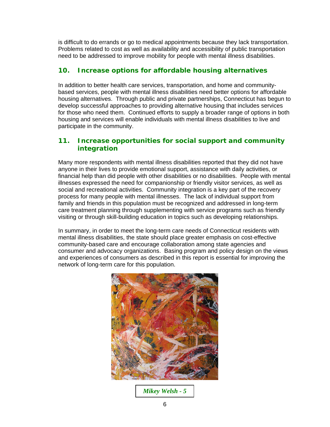is difficult to do errands or go to medical appointments because they lack transportation. Problems related to cost as well as availability and accessibility of public transportation need to be addressed to improve mobility for people with mental illness disabilities.

## **10. Increase options for affordable housing alternatives**

In addition to better health care services, transportation, and home and communitybased services, people with mental illness disabilities need better options for affordable housing alternatives. Through public and private partnerships, Connecticut has begun to develop successful approaches to providing alternative housing that includes services for those who need them. Continued efforts to supply a broader range of options in both housing and services will enable individuals with mental illness disabilities to live and participate in the community.

#### **11. Increase opportunities for social support and community integration**

Many more respondents with mental illness disabilities reported that they did not have anyone in their lives to provide emotional support, assistance with daily activities, or financial help than did people with other disabilities or no disabilities. People with mental illnesses expressed the need for companionship or friendly visitor services, as well as social and recreational activities. Community integration is a key part of the recovery process for many people with mental illnesses. The lack of individual support from family and friends in this population must be recognized and addressed in long-term care treatment planning through supplementing with service programs such as friendly visiting or through skill-building education in topics such as developing relationships.

In summary, in order to meet the long-term care needs of Connecticut residents with mental illness disabilities, the state should place greater emphasis on cost-effective community-based care and encourage collaboration among state agencies and consumer and advocacy organizations. Basing program and policy design on the views and experiences of consumers as described in this report is essential for improving the network of long-term care for this population.



*Mikey Welsh - 5*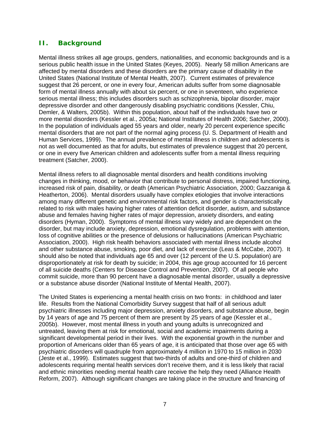#### **II. Background**

Mental illness strikes all age groups, genders, nationalities, and economic backgrounds and is a serious public health issue in the United States (Keyes, 2005). Nearly 58 million Americans are affected by mental disorders and these disorders are the primary cause of disability in the United States (National Institute of Mental Health, 2007). Current estimates of prevalence suggest that 26 percent, or one in every four, American adults suffer from some diagnosable form of mental illness annually with about six percent, or one in seventeen, who experience serious mental illness; this includes disorders such as schizophrenia, bipolar disorder, major depressive disorder and other dangerously disabling psychiatric conditions (Kessler, Chiu, Demler, & Walters, 2005b). Within this population, about half of the individuals have two or more mental disorders (Kessler et al., 2005a; National Institutes of Health 2006; Satcher, 2000). In the population of individuals aged 55 years and older, nearly 20 percent experience specific mental disorders that are not part of the normal aging process (U. S. Department of Health and Human Services, 1999). The annual prevalence of mental illness in children and adolescents is not as well documented as that for adults, but estimates of prevalence suggest that 20 percent, or one in every five American children and adolescents suffer from a mental illness requiring treatment (Satcher, 2000).

Mental illness refers to all diagnosable mental disorders and health conditions involving changes in thinking, mood, or behavior that contribute to personal distress, impaired functioning, increased risk of pain, disability, or death (American Psychiatric Association, 2000; Gazzaniga & Heatherton, 2006). Mental disorders usually have complex etiologies that involve interactions among many different genetic and environmental risk factors, and gender is characteristically related to risk with males having higher rates of attention deficit disorder, autism, and substance abuse and females having higher rates of major depression, anxiety disorders, and eating disorders (Hyman, 2000). Symptoms of mental illness vary widely and are dependent on the disorder, but may include anxiety, depression, emotional dysregulation, problems with attention, loss of cognitive abilities or the presence of delusions or hallucinations (American Psychiatric Association, 2000). High risk health behaviors associated with mental illness include alcohol and other substance abuse, smoking, poor diet, and lack of exercise (Leas & McCabe, 2007). It should also be noted that individuals age 65 and over (12 percent of the U.S. population) are disproportionately at risk for death by suicide; in 2004, this age group accounted for 16 percent of all suicide deaths (Centers for Disease Control and Prevention, 2007). Of all people who commit suicide, more than 90 percent have a diagnosable mental disorder, usually a depressive or a substance abuse disorder (National Institute of Mental Health, 2007).

The United States is experiencing a mental health crisis on two fronts: in childhood and later life. Results from the National Comorbidity Survey suggest that half of all serious adult psychiatric illnesses including major depression, anxiety disorders, and substance abuse, begin by 14 years of age and 75 percent of them are present by 25 years of age (Kessler et al., 2005b). However, most mental illness in youth and young adults is unrecognized and untreated, leaving them at risk for emotional, social and academic impairments during a significant developmental period in their lives. With the exponential growth in the number and proportion of Americans older than 65 years of age, it is anticipated that those over age 65 with psychiatric disorders will quadruple from approximately 4 million in 1970 to 15 million in 2030 (Jeste et al., 1999). Estimates suggest that two-thirds of adults and one-third of children and adolescents requiring mental health services don't receive them, and it is less likely that racial and ethnic minorities needing mental health care receive the help they need (Alliance Health Reform, 2007). Although significant changes are taking place in the structure and financing of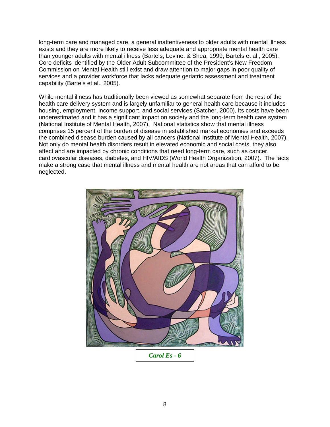long-term care and managed care, a general inattentiveness to older adults with mental illness exists and they are more likely to receive less adequate and appropriate mental health care than younger adults with mental illness (Bartels, Levine, & Shea, 1999; Bartels et al., 2005). Core deficits identified by the Older Adult Subcommittee of the President's New Freedom Commission on Mental Health still exist and draw attention to major gaps in poor quality of services and a provider workforce that lacks adequate geriatric assessment and treatment capability (Bartels et al., 2005).

While mental illness has traditionally been viewed as somewhat separate from the rest of the health care delivery system and is largely unfamiliar to general health care because it includes housing, employment, income support, and social services (Satcher, 2000), its costs have been underestimated and it has a significant impact on society and the long-term health care system (National Institute of Mental Health, 2007). National statistics show that mental illness comprises 15 percent of the burden of disease in established market economies and exceeds the combined disease burden caused by all cancers (National Institute of Mental Health, 2007). Not only do mental health disorders result in elevated economic and social costs, they also affect and are impacted by chronic conditions that need long-term care, such as cancer, cardiovascular diseases, diabetes, and HIV/AIDS (World Health Organization, 2007). The facts make a strong case that mental illness and mental health are not areas that can afford to be neglected.

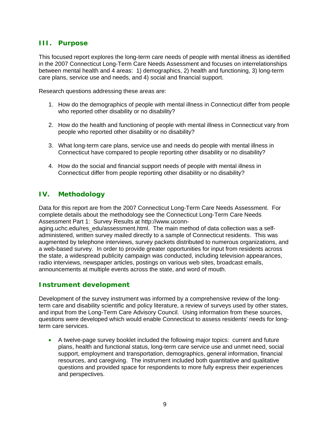#### **III. Purpose**

This focused report explores the long-term care needs of people with mental illness as identified in the 2007 Connecticut Long-Term Care Needs Assessment and focuses on interrelationships between mental health and 4 areas: 1) demographics, 2) health and functioning, 3) long-term care plans, service use and needs, and 4) social and financial support.

Research questions addressing these areas are:

- 1. How do the demographics of people with mental illness in Connecticut differ from people who reported other disability or no disability?
- 2. How do the health and functioning of people with mental illness in Connecticut vary from people who reported other disability or no disability?
- 3. What long-term care plans, service use and needs do people with mental illness in Connecticut have compared to people reporting other disability or no disability?
- 4. How do the social and financial support needs of people with mental illness in Connecticut differ from people reporting other disability or no disability?

## **IV. Methodology**

Data for this report are from the 2007 Connecticut Long-Term Care Needs Assessment. For complete details about the methodology see the Connecticut Long-Term Care Needs Assessment Part 1: Survey Results at [http://www.uconn-](http://www.uconn-aging.uchc.edu/res_edu/assessment.html)

[aging.uchc.edu/res\\_edu/assessment.html.](http://www.uconn-aging.uchc.edu/res_edu/assessment.html) The main method of data collection was a selfadministered, written survey mailed directly to a sample of Connecticut residents. This was augmented by telephone interviews, survey packets distributed to numerous organizations, and a web-based survey. In order to provide greater opportunities for input from residents across the state, a widespread publicity campaign was conducted, including television appearances, radio interviews, newspaper articles, postings on various web sites, broadcast emails, announcements at multiple events across the state, and word of mouth.

## *Instrument development*

Development of the survey instrument was informed by a comprehensive review of the longterm care and disability scientific and policy literature, a review of surveys used by other states, and input from the Long-Term Care Advisory Council. Using information from these sources, questions were developed which would enable Connecticut to assess residents' needs for longterm care services.

• A twelve-page survey booklet included the following major topics: current and future plans, health and functional status, long-term care service use and unmet need, social support, employment and transportation, demographics, general information, financial resources, and caregiving. The instrument included both quantitative and qualitative questions and provided space for respondents to more fully express their experiences and perspectives.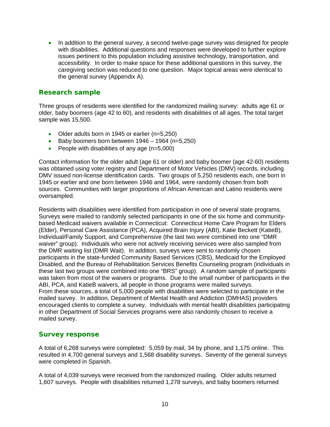• In addition to the general survey, a second twelve-page survey was designed for people with disabilities. Additional questions and responses were developed to further explore issues pertinent to this population including assistive technology, transportation, and accessibility. In order to make space for these additional questions in this survey, the caregiving section was reduced to one question. Major topical areas were identical to the general survey (Appendix A).

#### *Research sample*

Three groups of residents were identified for the randomized mailing survey: adults age 61 or older, baby boomers (age 42 to 60), and residents with disabilities of all ages. The total target sample was 15,500.

- Older adults born in 1945 or earlier (n=5,250)
- Baby boomers born between  $1946 1964$  (n=5,250)
- People with disabilities of any age (n=5,000)

Contact information for the older adult (age 61 or older) and baby boomer (age 42-60) residents was obtained using voter registry and Department of Motor Vehicles (DMV) records, including DMV issued non-license identification cards. Two groups of 5,250 residents each, one born in 1945 or earlier and one born between 1946 and 1964, were randomly chosen from both sources. Communities with larger proportions of African American and Latino residents were oversampled.

Residents with disabilities were identified from participation in one of several state programs. Surveys were mailed to randomly selected participants in one of the six home and communitybased Medicaid waivers available in Connecticut: Connecticut Home Care Program for Elders (Elder), Personal Care Assistance (PCA), Acquired Brain Injury (ABI), Katie Beckett (KatieB), Individual/Family Support, and Comprehensive (the last two were combined into one "DMR waiver" group). Individuals who were not actively receiving services were also sampled from the DMR waiting list (DMR Wait). In addition, surveys were sent to randomly chosen participants in the state-funded Community Based Services (CBS), Medicaid for the Employed Disabled, and the Bureau of Rehabilitation Services Benefits Counseling program (individuals in these last two groups were combined into one "BRS" group). A random sample of participants was taken from most of the waivers or programs. Due to the small number of participants in the ABI, PCA, and KatieB waivers, all people in those programs were mailed surveys. From these sources, a total of 5,000 people with disabilities were selected to participate in the mailed survey. In addition, Department of Mental Health and Addiction (DMHAS) providers encouraged clients to complete a survey. Individuals with mental health disabilities participating in other Department of Social Services programs were also randomly chosen to receive a mailed survey.

#### *Survey response*

A total of 6,268 surveys were completed: 5,059 by mail, 34 by phone, and 1,175 online. This resulted in 4,700 general surveys and 1,568 disability surveys. Seventy of the general surveys were completed in Spanish.

A total of 4,039 surveys were received from the randomized mailing. Older adults returned 1,607 surveys. People with disabilities returned 1,278 surveys, and baby boomers returned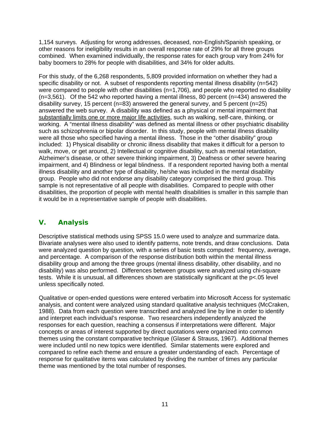1,154 surveys. Adjusting for wrong addresses, deceased, non-English/Spanish speaking, or other reasons for ineligibility results in an overall response rate of 29% for all three groups combined. When examined individually, the response rates for each group vary from 24% for baby boomers to 28% for people with disabilities, and 34% for older adults.

For this study, of the 6,268 respondents, 5,809 provided information on whether they had a specific disability or not. A subset of respondents reporting mental illness disability (n=542) were compared to people with other disabilities (n=1,706), and people who reported no disability  $(n=3,561)$ . Of the 542 who reported having a mental illness, 80 percent  $(n=434)$  answered the disability survey, 15 percent ( $n=83$ ) answered the general survey, and 5 percent ( $n=25$ ) answered the web survey. A disability was defined as a physical or mental impairment that substantially limits one or more major life activities, such as walking, self-care, thinking, or working. A "mental illness disability" was defined as mental illness or other psychiatric disability such as schizophrenia or bipolar disorder. In this study, people with mental illness disability were all those who specified having a mental illness. Those in the "other disability" group included: 1) Physical disability or chronic illness disability that makes it difficult for a person to walk, move, or get around, 2) Intellectual or cognitive disability, such as mental retardation, Alzheimer's disease, or other severe thinking impairment, 3) Deafness or other severe hearing impairment, and 4) Blindness or legal blindness. If a respondent reported having both a mental illness disability and another type of disability, he/she was included in the mental disability group. People who did not endorse any disability category comprised the third group. This sample is not representative of all people with disabilities. Compared to people with other disabilities, the proportion of people with mental health disabilities is smaller in this sample than it would be in a representative sample of people with disabilities.

# **V. Analysis**

Descriptive statistical methods using SPSS 15.0 were used to analyze and summarize data. Bivariate analyses were also used to identify patterns, note trends, and draw conclusions. Data were analyzed question by question, with a series of basic tests computed: frequency, average, and percentage. A comparison of the response distribution both within the mental illness disability group and among the three groups (mental illness disability, other disability, and no disability) was also performed. Differences between groups were analyzed using chi-square tests. While it is unusual, all differences shown are statistically significant at the p<.05 level unless specifically noted.

Qualitative or open-ended questions were entered verbatim into Microsoft Access for systematic analysis, and content were analyzed using standard qualitative analysis techniques (McCraken, 1988). Data from each question were transcribed and analyzed line by line in order to identify and interpret each individual's response. Two researchers independently analyzed the responses for each question, reaching a consensus if interpretations were different. Major concepts or areas of interest supported by direct quotations were organized into common themes using the constant comparative technique (Glaser & Strauss, 1967). Additional themes were included until no new topics were identified. Similar statements were explored and compared to refine each theme and ensure a greater understanding of each. Percentage of response for qualitative items was calculated by dividing the number of times any particular theme was mentioned by the total number of responses.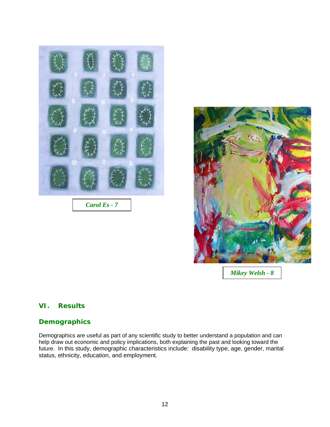

*Carol Es - 7* 



*Mikey Welsh - 8* 

## **VI. Results**

#### *Demographics*

Demographics are useful as part of any scientific study to better understand a population and can help draw out economic and policy implications, both explaining the past and looking toward the future. In this study, demographic characteristics include: disability type, age, gender, marital status, ethnicity, education, and employment.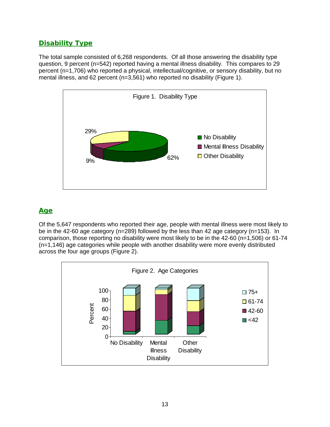# *Disability Type*

The total sample consisted of 6,268 respondents. Of all those answering the disability type question, 9 percent (n=542) reported having a mental illness disability. This compares to 29 percent (n=1,706) who reported a physical, intellectual/cognitive, or sensory disability, but no mental illness, and 62 percent (n=3,561) who reported no disability (Figure 1).



# *Age*

Of the 5,647 respondents who reported their age, people with mental illness were most likely to be in the 42-60 age category (n=289) followed by the less than 42 age category (n=153). In comparison, those reporting no disability were most likely to be in the 42-60 (n=1,506) or 61-74 (n=1,146) age categories while people with another disability were more evenly distributed across the four age groups (Figure 2).

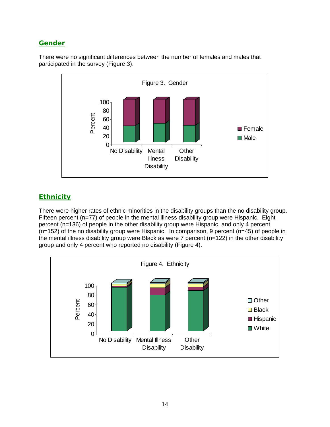## *Gender*

There were no significant differences between the number of females and males that participated in the survey (Figure 3).



# *Ethnicity*

There were higher rates of ethnic minorities in the disability groups than the no disability group. Fifteen percent (n=77) of people in the mental illness disability group were Hispanic. Eight percent (n=136) of people in the other disability group were Hispanic, and only 4 percent (n=152) of the no disability group were Hispanic. In comparison, 9 percent (n=45) of people in the mental illness disability group were Black as were 7 percent (n=122) in the other disability group and only 4 percent who reported no disability (Figure 4).

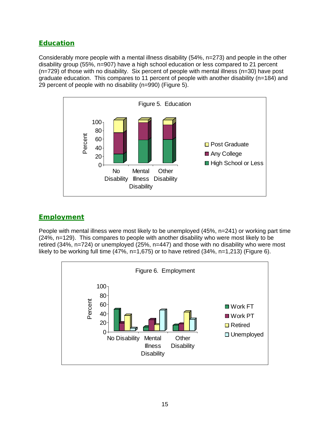## *Education*

Considerably more people with a mental illness disability (54%, n=273) and people in the other disability group (55%, n=907) have a high school education or less compared to 21 percent (n=729) of those with no disability. Six percent of people with mental illness (n=30) have post graduate education. This compares to 11 percent of people with another disability (n=184) and 29 percent of people with no disability (n=990) (Figure 5).



## *Employment*

People with mental illness were most likely to be unemployed (45%, n=241) or working part time (24%, n=129). This compares to people with another disability who were most likely to be retired (34%, n=724) or unemployed (25%, n=447) and those with no disability who were most likely to be working full time  $(47\%,-1,675)$  or to have retired  $(34\%,,-1,213)$  (Figure 6).

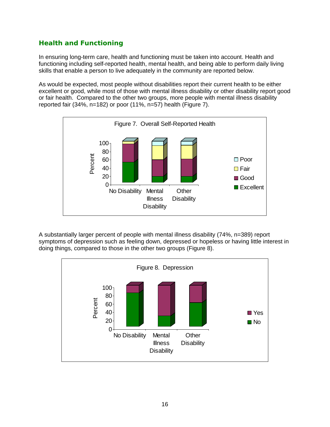# *Health and Functioning*

In ensuring long-term care, health and functioning must be taken into account. Health and functioning including self-reported health, mental health, and being able to perform daily living skills that enable a person to live adequately in the community are reported below.

As would be expected, most people without disabilities report their current health to be either excellent or good, while most of those with mental illness disability or other disability report good or fair health. Compared to the other two groups, more people with mental illness disability reported fair (34%, n=182) or poor (11%, n=57) health (Figure 7).



A substantially larger percent of people with mental illness disability (74%, n=389) report symptoms of depression such as feeling down, depressed or hopeless or having little interest in doing things, compared to those in the other two groups (Figure 8).

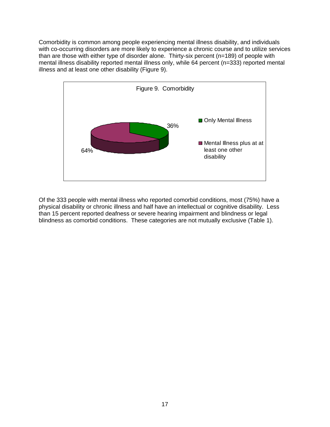Comorbidity is common among people experiencing mental illness disability, and individuals with co-occurring disorders are more likely to experience a chronic course and to utilize services than are those with either type of disorder alone. Thirty-six percent (n=189) of people with mental illness disability reported mental illness only, while 64 percent (n=333) reported mental illness and at least one other disability (Figure 9).



Of the 333 people with mental illness who reported comorbid conditions, most (75%) have a physical disability or chronic illness and half have an intellectual or cognitive disability. Less than 15 percent reported deafness or severe hearing impairment and blindness or legal blindness as comorbid conditions. These categories are not mutually exclusive (Table 1).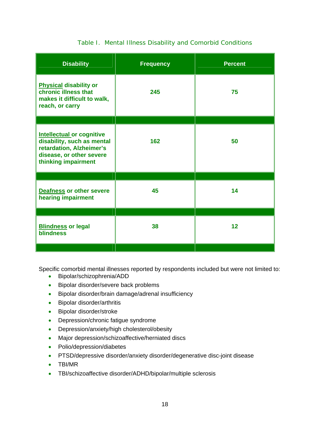## Table I. Mental Illness Disability and Comorbid Conditions

| <b>Disability</b>                                                                                                                             | <b>Frequency</b> | <b>Percent</b> |
|-----------------------------------------------------------------------------------------------------------------------------------------------|------------------|----------------|
| <b>Physical disability or</b><br>chronic illness that<br>makes it difficult to walk,<br>reach, or carry                                       | 245              | 75             |
|                                                                                                                                               |                  |                |
| <b>Intellectual or cognitive</b><br>disability, such as mental<br>retardation, Alzheimer's<br>disease, or other severe<br>thinking impairment | 162              | 50             |
|                                                                                                                                               |                  |                |
| <b>Deafness or other severe</b><br>hearing impairment                                                                                         | 45               | 14             |
|                                                                                                                                               |                  |                |
| <b>Blindness or legal</b><br><b>blindness</b>                                                                                                 | 38               | 12             |
|                                                                                                                                               |                  |                |

Specific comorbid mental illnesses reported by respondents included but were not limited to:

- Bipolar/schizophrenia/ADD
- Bipolar disorder/severe back problems
- Bipolar disorder/brain damage/adrenal insufficiency
- Bipolar disorder/arthritis
- Bipolar disorder/stroke
- Depression/chronic fatigue syndrome
- Depression/anxiety/high cholesterol/obesity
- Major depression/schizoaffective/herniated discs
- Polio/depression/diabetes
- PTSD/depressive disorder/anxiety disorder/degenerative disc-joint disease
- TBI/MR
- TBI/schizoaffective disorder/ADHD/bipolar/multiple sclerosis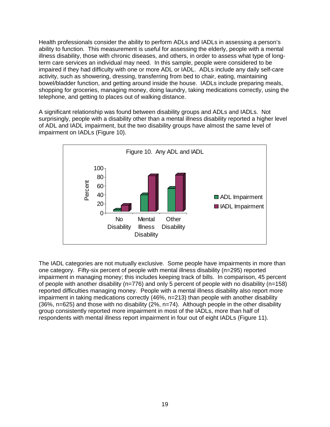Health professionals consider the ability to perform ADLs and IADLs in assessing a person's ability to function. This measurement is useful for assessing the elderly, people with a mental illness disability, those with chronic diseases, and others, in order to assess what type of longterm care services an individual may need. In this sample, people were considered to be impaired if they had difficulty with one or more ADL or IADL. ADLs include any daily self-care activity, such as showering, dressing, transferring from bed to chair, eating, maintaining bowel/bladder function, and getting around inside the house. IADLs include preparing meals, shopping for groceries, managing money, doing laundry, taking medications correctly, using the telephone, and getting to places out of walking distance.

A significant relationship was found between disability groups and ADLs and IADLs. Not surprisingly, people with a disability other than a mental illness disability reported a higher level of ADL and IADL impairment, but the two disability groups have almost the same level of impairment on IADLs (Figure 10).



The IADL categories are not mutually exclusive. Some people have impairments in more than one category. Fifty-six percent of people with mental illness disability (n=295) reported impairment in managing money; this includes keeping track of bills. In comparison, 45 percent of people with another disability (n=776) and only 5 percent of people with no disability (n=158) reported difficulties managing money. People with a mental illness disability also report more impairment in taking medications correctly (46%, n=213) than people with another disability (36%, n=625) and those with no disability (2%, n=74). Although people in the other disability group consistently reported more impairment in most of the IADLs, more than half of respondents with mental illness report impairment in four out of eight IADLs (Figure 11).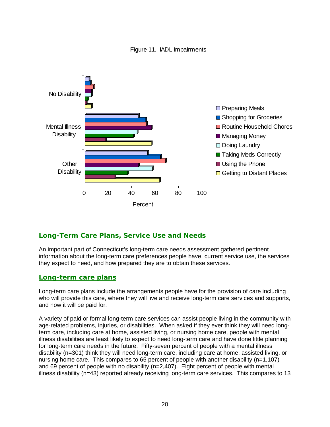

# *Long-Term Care Plans, Service Use and Needs*

An important part of Connecticut's long-term care needs assessment gathered pertinent information about the long-term care preferences people have, current service use, the services they expect to need, and how prepared they are to obtain these services.

## *Long-term care plans*

Long-term care plans include the arrangements people have for the provision of care including who will provide this care, where they will live and receive long-term care services and supports, and how it will be paid for.

A variety of paid or formal long-term care services can assist people living in the community with age-related problems, injuries, or disabilities. When asked if they ever think they will need longterm care, including care at home, assisted living, or nursing home care, people with mental illness disabilities are least likely to expect to need long-term care and have done little planning for long-term care needs in the future. Fifty-seven percent of people with a mental illness disability (n=301) think they will need long-term care, including care at home, assisted living, or nursing home care. This compares to 65 percent of people with another disability (n=1,107) and 69 percent of people with no disability (n=2,407). Eight percent of people with mental illness disability (n=43) reported already receiving long-term care services. This compares to 13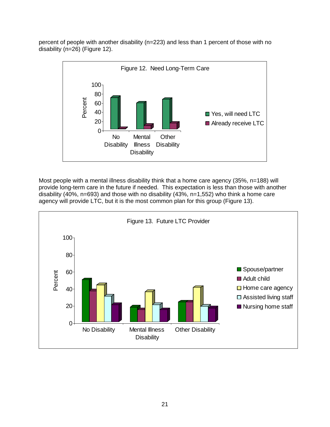percent of people with another disability (n=223) and less than 1 percent of those with no disability (n=26) (Figure 12).



Most people with a mental illness disability think that a home care agency (35%, n=188) will provide long-term care in the future if needed. This expectation is less than those with another disability (40%, n=693) and those with no disability (43%, n=1,552) who think a home care agency will provide LTC, but it is the most common plan for this group (Figure 13).

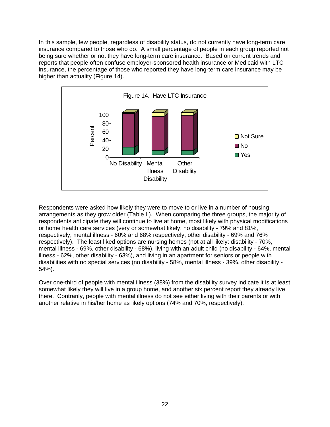In this sample, few people, regardless of disability status, do not currently have long-term care insurance compared to those who do. A small percentage of people in each group reported not being sure whether or not they have long-term care insurance. Based on current trends and reports that people often confuse employer-sponsored health insurance or Medicaid with LTC insurance, the percentage of those who reported they have long-term care insurance may be higher than actuality (Figure 14).



Respondents were asked how likely they were to move to or live in a number of housing arrangements as they grow older (Table II). When comparing the three groups, the majority of respondents anticipate they will continue to live at home, most likely with physical modifications or home health care services (very or somewhat likely: no disability - 79% and 81%, respectively; mental illness - 60% and 68% respectively; other disability - 69% and 76% respectively). The least liked options are nursing homes (not at all likely: disability - 70%, mental illness - 69%, other disability - 68%), living with an adult child (no disability - 64%, mental illness - 62%, other disability - 63%), and living in an apartment for seniors or people with disabilities with no special services (no disability - 58%, mental illness - 39%, other disability - 54%).

Over one-third of people with mental illness (38%) from the disability survey indicate it is at least somewhat likely they will live in a group home, and another six percent report they already live there. Contrarily, people with mental illness do not see either living with their parents or with another relative in his/her home as likely options (74% and 70%, respectively).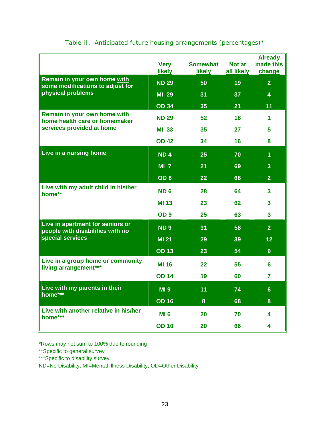|                                                                                            | <b>Very</b><br><b>likely</b> | <b>Somewhat</b><br><b>likely</b> | Not at<br>all likely | <b>Already</b><br>made this<br>change |
|--------------------------------------------------------------------------------------------|------------------------------|----------------------------------|----------------------|---------------------------------------|
| Remain in your own home with<br>some modifications to adjust for<br>physical problems      | <b>ND 29</b>                 | 50                               | 19                   | $\overline{2}$                        |
|                                                                                            | MI 29                        | 31                               | 37                   | 4                                     |
|                                                                                            | <b>OD 34</b>                 | 35                               | 21                   | 11                                    |
| Remain in your own home with<br>home health care or homemaker<br>services provided at home | <b>ND 29</b>                 | 52                               | 18                   | 1                                     |
|                                                                                            | <b>MI 33</b>                 | 35                               | 27                   | 5.                                    |
|                                                                                            | <b>OD 42</b>                 | 34                               | 16                   | 8                                     |
| Live in a nursing home                                                                     | <b>ND4</b>                   | 25                               | 70                   | $\overline{1}$                        |
|                                                                                            | $MI$ $7$                     | 21                               | 69                   | $\overline{\mathbf{3}}$               |
|                                                                                            | OD <sub>8</sub>              | 22                               | 68                   | $\overline{2}$                        |
| Live with my adult child in his/her<br>home**                                              | <b>ND6</b>                   | 28                               | 64                   | $\overline{3}$                        |
|                                                                                            | <b>MI 13</b>                 | 23                               | 62                   | 3                                     |
|                                                                                            | OD <sub>9</sub>              | 25                               | 63                   | $\overline{\mathbf{3}}$               |
| Live in apartment for seniors or<br>people with disabilities with no<br>special services   | <b>ND9</b>                   | 31                               | 58                   | $\overline{2}$                        |
|                                                                                            | <b>MI 21</b>                 | 29                               | 39                   | 12                                    |
|                                                                                            | <b>OD 13</b>                 | 23                               | 54                   | 9 <sup>°</sup>                        |
| Live in a group home or community<br>living arrangement***                                 | <b>MI 16</b>                 | 22                               | 55                   | 6                                     |
|                                                                                            | <b>OD 14</b>                 | 19                               | 60                   | $\overline{7}$                        |
| Live with my parents in their<br>home***                                                   | <b>MI 9</b>                  | 11                               | 74                   | 6 <sup>°</sup>                        |
|                                                                                            | <b>OD 16</b>                 | 8                                | 68                   | 8                                     |
| Live with another relative in his/her<br>home***                                           | MI 6                         | 20                               | 70                   | 4                                     |
|                                                                                            | <b>OD 10</b>                 | 20                               | 66                   | 4                                     |

# Table II. Anticipated future housing arrangements (percentages)\*

\*Rows may not sum to 100% due to rounding

\*\*Specific to general survey

\*\*\*Specific to disability survey

ND=No Disability; MI=Mental Illness Disability; OD=Other Disability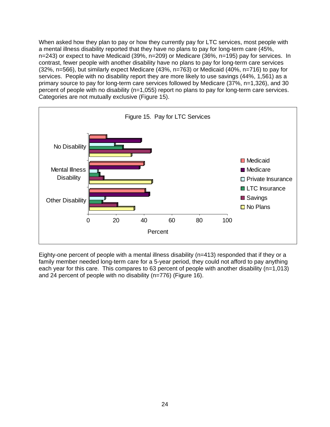When asked how they plan to pay or how they currently pay for LTC services, most people with a mental illness disability reported that they have no plans to pay for long-term care (45%, n=243) or expect to have Medicaid (39%, n=209) or Medicare (36%, n=195) pay for services. In contrast, fewer people with another disability have no plans to pay for long-term care services (32%, n=566), but similarly expect Medicare (43%, n=763) or Medicaid (40%, n=716) to pay for services. People with no disability report they are more likely to use savings (44%, 1,561) as a primary source to pay for long-term care services followed by Medicare (37%, n=1,326), and 30 percent of people with no disability (n=1,055) report no plans to pay for long-term care services. Categories are not mutually exclusive (Figure 15).



Eighty-one percent of people with a mental illness disability (n=413) responded that if they or a family member needed long-term care for a 5-year period, they could not afford to pay anything each year for this care. This compares to 63 percent of people with another disability (n=1,013) and 24 percent of people with no disability (n=776) (Figure 16).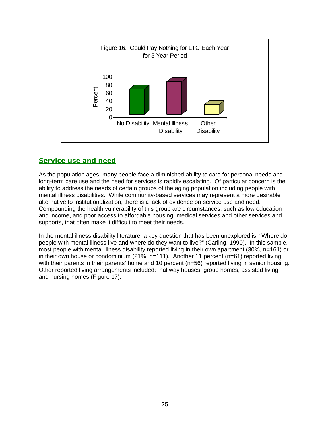

## *Service use and need*

As the population ages, many people face a diminished ability to care for personal needs and long-term care use and the need for services is rapidly escalating. Of particular concern is the ability to address the needs of certain groups of the aging population including people with mental illness disabilities. While community-based services may represent a more desirable alternative to institutionalization, there is a lack of evidence on service use and need. Compounding the health vulnerability of this group are circumstances, such as low education and income, and poor access to affordable housing, medical services and other services and supports, that often make it difficult to meet their needs.

In the mental illness disability literature, a key question that has been unexplored is, "Where do people with mental illness live and where do they want to live?" (Carling, 1990). In this sample, most people with mental illness disability reported living in their own apartment (30%, n=161) or in their own house or condominium (21%, n=111). Another 11 percent (n=61) reported living with their parents in their parents' home and 10 percent (n=56) reported living in senior housing. Other reported living arrangements included: halfway houses, group homes, assisted living, and nursing homes (Figure 17).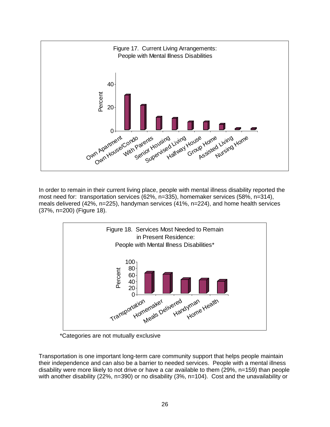

In order to remain in their current living place, people with mental illness disability reported the most need for: transportation services (62%, n=335), homemaker services (58%, n=314), meals delivered (42%, n=225), handyman services (41%, n=224), and home health services (37%, n=200) (Figure 18).



\*Categories are not mutually exclusive

Transportation is one important long-term care community support that helps people maintain their independence and can also be a barrier to needed services. People with a mental illness disability were more likely to not drive or have a car available to them (29%, n=159) than people with another disability (22%, n=390) or no disability (3%, n=104). Cost and the unavailability or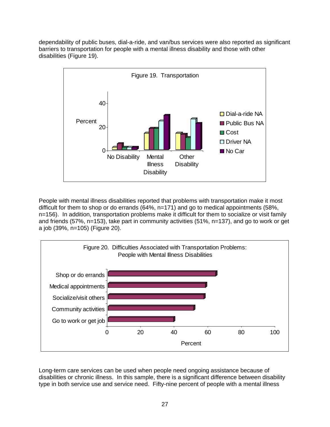dependability of public buses, dial-a-ride, and van/bus services were also reported as significant barriers to transportation for people with a mental illness disability and those with other disabilities (Figure 19).



People with mental illness disabilities reported that problems with transportation make it most difficult for them to shop or do errands (64%, n=171) and go to medical appointments (58%, n=156). In addition, transportation problems make it difficult for them to socialize or visit family and friends (57%, n=153), take part in community activities (51%, n=137), and go to work or get a job (39%, n=105) (Figure 20).



Long-term care services can be used when people need ongoing assistance because of disabilities or chronic illness. In this sample, there is a significant difference between disability type in both service use and service need. Fifty-nine percent of people with a mental illness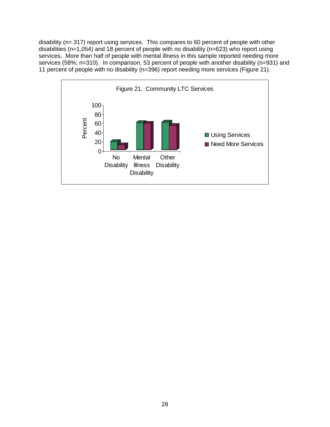disability (n= 317) report using services. This compares to 60 percent of people with other disabilities (n=1,054) and 18 percent of people with no disability (n=623) who report using services. More than half of people with mental illness in this sample reported needing more services (58%; n=310). In comparison, 53 percent of people with another disability (n=931) and 11 percent of people with no disability (n=396) report needing more services (Figure 21).

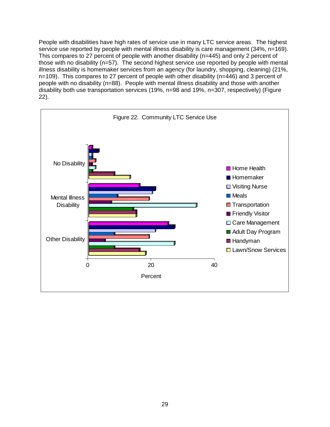People with disabilities have high rates of service use in many LTC service areas. The highest service use reported by people with mental illness disability is care management (34%, n=169). This compares to 27 percent of people with another disability (n=445) and only 2 percent of those with no disability (n=57). The second highest service use reported by people with mental illness disability is homemaker services from an agency (for laundry, shopping, cleaning) (21%, n=109). This compares to 27 percent of people with other disability (n=446) and 3 percent of people with no disability (n=88). People with mental illness disability and those with another disability both use transportation services (19%, n=98 and 19%, n=307, respectively) (Figure 22).

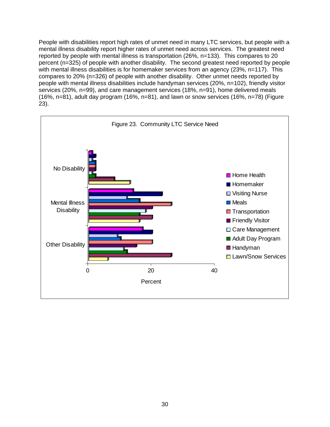People with disabilities report high rates of unmet need in many LTC services, but people with a mental illness disability report higher rates of unmet need across services. The greatest need reported by people with mental illness is transportation (26%, n=133). This compares to 20 percent (n=325) of people with another disability. The second greatest need reported by people with mental illness disabilities is for homemaker services from an agency (23%, n=117). This compares to 20% (n=326) of people with another disability. Other unmet needs reported by people with mental illness disabilities include handyman services (20%, n=102), friendly visitor services (20%, n=99), and care management services (18%, n=91), home delivered meals (16%, n=81), adult day program (16%, n=81), and lawn or snow services (16%, n=78) (Figure 23).

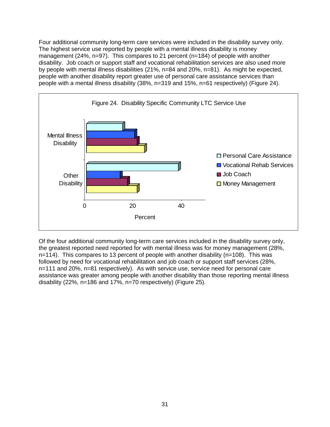Four additional community long-term care services were included in the disability survey only. The highest service use reported by people with a mental illness disability is money management (24%, n=97). This compares to 21 percent (n=184) of people with another disability. Job coach or support staff and vocational rehabilitation services are also used more by people with mental illness disabilities (21%, n=84 and 20%, n=81). As might be expected, people with another disability report greater use of personal care assistance services than people with a mental illness disability (38%, n=319 and 15%, n=61 respectively) (Figure 24).



Of the four additional community long-term care services included in the disability survey only, the greatest reported need reported for with mental illness was for money management (28%, n=114). This compares to 13 percent of people with another disability (n=108). This was followed by need for vocational rehabilitation and job coach or support staff services (28%, n=111 and 20%, n=81 respectively). As with service use, service need for personal care assistance was greater among people with another disability than those reporting mental illness disability (22%, n=186 and 17%, n=70 respectively) (Figure 25).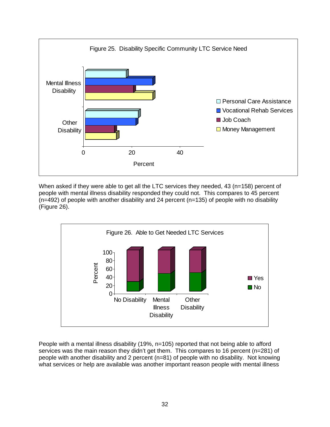

When asked if they were able to get all the LTC services they needed, 43 (n=158) percent of people with mental illness disability responded they could not. This compares to 45 percent  $(n=492)$  of people with another disability and 24 percent  $(n=135)$  of people with no disability (Figure 26).



People with a mental illness disability (19%, n=105) reported that not being able to afford services was the main reason they didn't get them. This compares to 16 percent (n=281) of people with another disability and 2 percent (n=81) of people with no disability. Not knowing what services or help are available was another important reason people with mental illness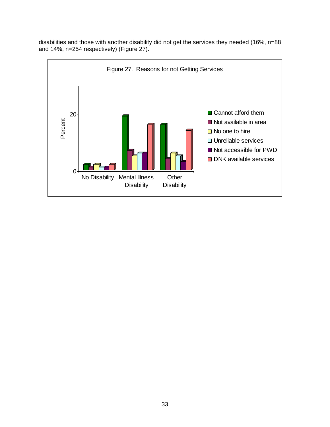

disabilities and those with another disability did not get the services they needed (16%, n=88 and 14%, n=254 respectively) (Figure 27).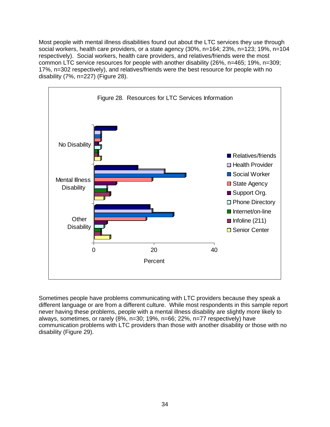Most people with mental illness disabilities found out about the LTC services they use through social workers, health care providers, or a state agency (30%, n=164; 23%, n=123; 19%, n=104 respectively). Social workers, health care providers, and relatives/friends were the most common LTC service resources for people with another disability (26%, n=465; 19%, n=309; 17%, n=302 respectively), and relatives/friends were the best resource for people with no disability (7%, n=227) (Figure 28).



Sometimes people have problems communicating with LTC providers because they speak a different language or are from a different culture. While most respondents in this sample report never having these problems, people with a mental illness disability are slightly more likely to always, sometimes, or rarely (8%, n=30; 19%, n=66; 22%, n=77 respectively) have communication problems with LTC providers than those with another disability or those with no disability (Figure 29).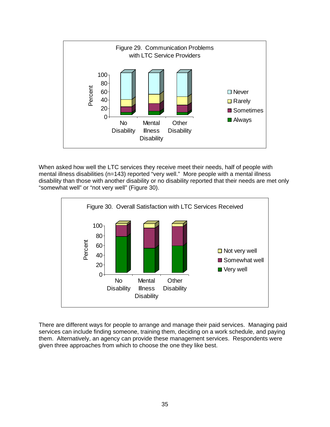

When asked how well the LTC services they receive meet their needs, half of people with mental illness disabilities (n=143) reported "very well." More people with a mental illness disability than those with another disability or no disability reported that their needs are met only "somewhat well" or "not very well" (Figure 30).



There are different ways for people to arrange and manage their paid services. Managing paid services can include finding someone, training them, deciding on a work schedule, and paying them. Alternatively, an agency can provide these management services. Respondents were given three approaches from which to choose the one they like best.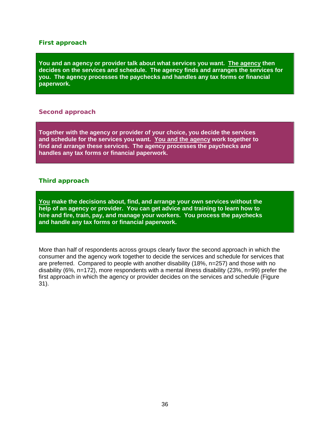#### *First approach*

**You and an agency or provider talk about what services you want. The agency then decides on the services and schedule. The agency finds and arranges the services for you. The agency processes the paychecks and handles any tax forms or financial paperwork.** 

#### *Second approach*

**Together with the agency or provider of your choice, you decide the services and schedule for the services you want. You and the agency work together to find and arrange these services. The agency processes the paychecks and handles any tax forms or financial paperwork.** 

#### *Third approach*

**You make the decisions about, find, and arrange your own services without the help of an agency or provider. You can get advice and training to learn how to hire and fire, train, pay, and manage your workers. You process the paychecks and handle any tax forms or financial paperwork.** 

More than half of respondents across groups clearly favor the second approach in which the consumer and the agency work together to decide the services and schedule for services that are preferred. Compared to people with another disability (18%, n=257) and those with no disability (6%, n=172), more respondents with a mental illness disability (23%, n=99) prefer the first approach in which the agency or provider decides on the services and schedule (Figure 31).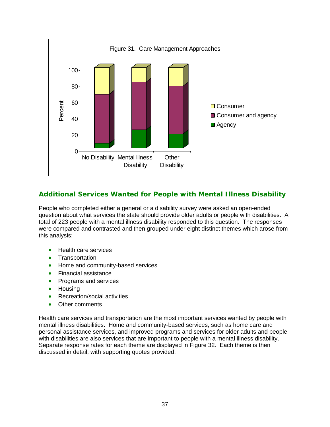

# *Additional Services Wanted for People with Mental Illness Disability*

People who completed either a general or a disability survey were asked an open-ended question about what services the state should provide older adults or people with disabilities. A total of 223 people with a mental illness disability responded to this question. The responses were compared and contrasted and then grouped under eight distinct themes which arose from this analysis:

- Health care services
- Transportation
- Home and community-based services
- Financial assistance
- Programs and services
- Housing
- Recreation/social activities
- Other comments

Health care services and transportation are the most important services wanted by people with mental illness disabilities. Home and community-based services, such as home care and personal assistance services, and improved programs and services for older adults and people with disabilities are also services that are important to people with a mental illness disability. Separate response rates for each theme are displayed in Figure 32. Each theme is then discussed in detail, with supporting quotes provided.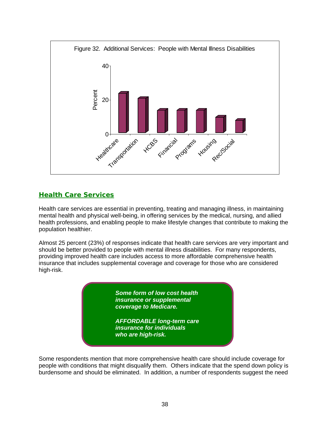

# *Health Care Services*

Health care services are essential in preventing, treating and managing illness, in maintaining mental health and physical well-being, in offering services by the medical, nursing, and allied health professions, and enabling people to make lifestyle changes that contribute to making the population healthier.

Almost 25 percent (23%) of responses indicate that health care services are very important and should be better provided to people with mental illness disabilities. For many respondents, providing improved health care includes access to more affordable comprehensive health insurance that includes supplemental coverage and coverage for those who are considered high-risk.

> *Some form of low cost health insurance or supplemental coverage to Medicare.*

*AFFORDABLE long-term care insurance for individuals who are high-risk.* 

Some respondents mention that more comprehensive health care should include coverage for people with conditions that might disqualify them. Others indicate that the spend down policy is burdensome and should be eliminated. In addition, a number of respondents suggest the need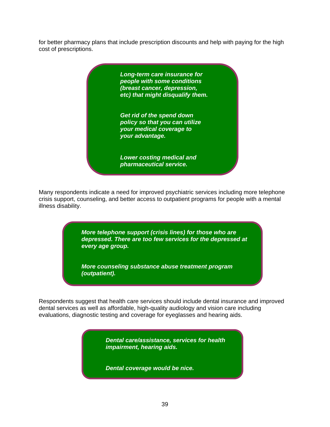for better pharmacy plans that include prescription discounts and help with paying for the high cost of prescriptions.

> *Long-term care insurance for people with some conditions (breast cancer, depression, etc) that might disqualify them. Get rid of the spend down policy so that you can utilize your medical coverage to your advantage. Lower costing medical and pharmaceutical service.*

Many respondents indicate a need for improved psychiatric services including more telephone crisis support, counseling, and better access to outpatient programs for people with a mental illness disability.

> *More telephone support (crisis lines) for those who are depressed. There are too few services for the depressed at every age group.*

*More counseling substance abuse treatment program (outpatient).* 

Respondents suggest that health care services should include dental insurance and improved dental services as well as affordable, high-quality audiology and vision care including evaluations, diagnostic testing and coverage for eyeglasses and hearing aids.

> *Dental care/assistance, services for health impairment, hearing aids.*

*Dental coverage would be nice.*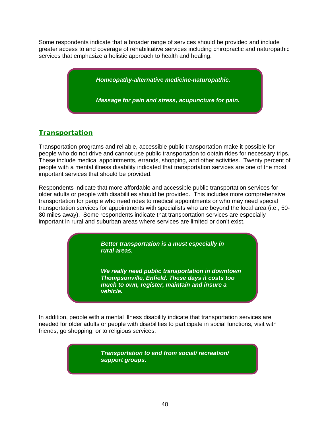Some respondents indicate that a broader range of services should be provided and include greater access to and coverage of rehabilitative services including chiropractic and naturopathic services that emphasize a holistic approach to health and healing.

> *Homeopathy-alternative medicine-naturopathic. Massage for pain and stress, acupuncture for pain.*

# *Transportation*

Transportation programs and reliable, accessible public transportation make it possible for people who do not drive and cannot use public transportation to obtain rides for necessary trips. These include medical appointments, errands, shopping, and other activities. Twenty percent of people with a mental illness disability indicated that transportation services are one of the most important services that should be provided.

Respondents indicate that more affordable and accessible public transportation services for older adults or people with disabilities should be provided. This includes more comprehensive transportation for people who need rides to medical appointments or who may need special transportation services for appointments with specialists who are beyond the local area (i.e., 50- 80 miles away). Some respondents indicate that transportation services are especially important in rural and suburban areas where services are limited or don't exist.

> *Better transportation is a must especially in rural areas.*

*We really need public transportation in downtown Thompsonville, Enfield. These days it costs too much to own, register, maintain and insure a vehicle.* 

In addition, people with a mental illness disability indicate that transportation services are needed for older adults or people with disabilities to participate in social functions, visit with friends, go shopping, or to religious services.

> *Transportation to and from social/ recreation/ support groups.*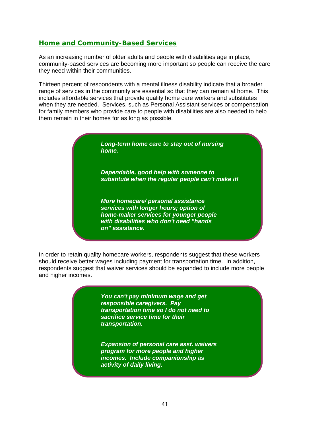### *Home and Community-Based Services*

As an increasing number of older adults and people with disabilities age in place, community-based services are becoming more important so people can receive the care they need within their communities.

Thirteen percent of respondents with a mental illness disability indicate that a broader range of services in the community are essential so that they can remain at home. This includes affordable services that provide quality home care workers and substitutes when they are needed. Services, such as Personal Assistant services or compensation for family members who provide care to people with disabilities are also needed to help them remain in their homes for as long as possible.

> *Long-term home care to stay out of nursing home.*

*Dependable, good help with someone to substitute when the regular people can't make it!* 

*More homecare/ personal assistance services with longer hours; option of home-maker services for younger people with disabilities who don't need "hands on" assistance.* 

In order to retain quality homecare workers, respondents suggest that these workers should receive better wages including payment for transportation time. In addition, respondents suggest that waiver services should be expanded to include more people and higher incomes.

> *You can't pay minimum wage and get responsible caregivers. Pay transportation time so I do not need to sacrifice service time for their transportation.*

*Expansion of personal care asst. waivers program for more people and higher incomes. Include companionship as activity of daily living.*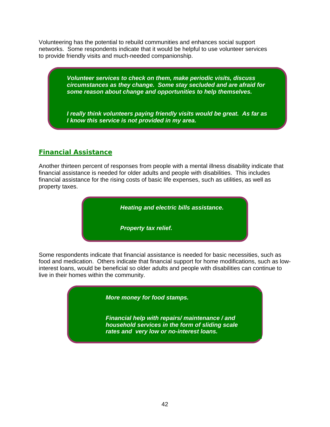Volunteering has the potential to rebuild communities and enhances social support networks. Some respondents indicate that it would be helpful to use volunteer services to provide friendly visits and much-needed companionship.

> *Volunteer services to check on them, make periodic visits, discuss circumstances as they change. Some stay secluded and are afraid for some reason about change and opportunities to help themselves.*

> *I really think volunteers paying friendly visits would be great. As far as I know this service is not provided in my area.*

### *Financial Assistance*

Another thirteen percent of responses from people with a mental illness disability indicate that financial assistance is needed for older adults and people with disabilities. This includes financial assistance for the rising costs of basic life expenses, such as utilities, as well as property taxes.



Some respondents indicate that financial assistance is needed for basic necessities, such as food and medication. Others indicate that financial support for home modifications, such as lowinterest loans, would be beneficial so older adults and people with disabilities can continue to live in their homes within the community.

*More money for food stamps.* 

*Financial help with repairs/ maintenance / and household services in the form of sliding scale rates and very low or no-interest loans.*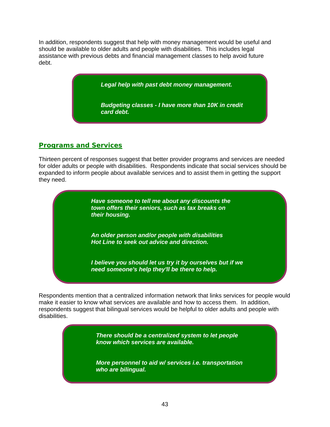In addition, respondents suggest that help with money management would be useful and should be available to older adults and people with disabilities. This includes legal assistance with previous debts and financial management classes to help avoid future debt.

*Legal help with past debt money management.* 

*Budgeting classes - I have more than 10K in credit card debt.* 

#### *Programs and Services*

Thirteen percent of responses suggest that better provider programs and services are needed for older adults or people with disabilities. Respondents indicate that social services should be expanded to inform people about available services and to assist them in getting the support they need.

> *Have someone to tell me about any discounts the town offers their seniors, such as tax breaks on their housing.*

*An older person and/or people with disabilities Hot Line to seek out advice and direction.* 

*I believe you should let us try it by ourselves but if we need someone's help they'll be there to help.* 

Respondents mention that a centralized information network that links services for people would make it easier to know what services are available and how to access them. In addition, respondents suggest that bilingual services would be helpful to older adults and people with disabilities.

> *There should be a centralized system to let people know which services are available.*

*More personnel to aid w/ services i.e. transportation who are bilingual.*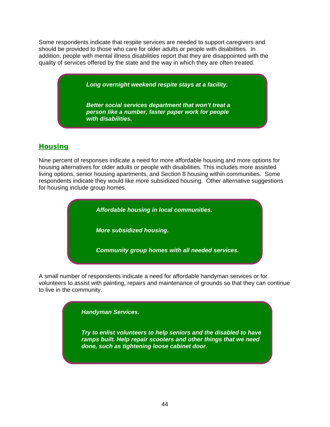Some respondents indicate that respite services are needed to support caregivers and should be provided to those who care for older adults or people with disabilities. In addition, people with mental illness disabilities report that they are disappointed with the quality of services offered by the state and the way in which they are often treated.

*Long overnight weekend respite stays at a facility.* 

*Better social services department that won't treat a person like a number, faster paper work for people with disabilities.* 

### *Housing*

Nine percent of responses indicate a need for more affordable housing and more options for housing alternatives for older adults or people with disabilities. This includes more assisted living options, senior housing apartments, and Section 8 housing within communities. Some respondents indicate they would like more subsidized housing. Other alternative suggestions for housing include group homes.



A small number of respondents indicate a need for affordable handyman services or for volunteers to assist with painting, repairs and maintenance of grounds so that they can continue to live in the community.

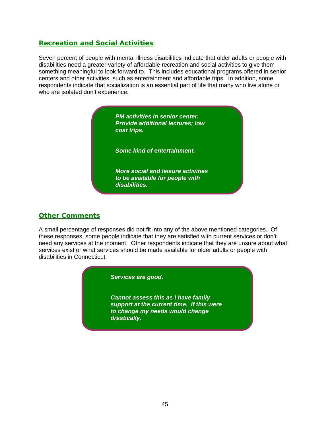#### *Recreation and Social Activities*

Seven percent of people with mental illness disabilities indicate that older adults or people with disabilities need a greater variety of affordable recreation and social activities to give them something meaningful to look forward to. This includes educational programs offered in senior centers and other activities, such as entertainment and affordable trips. In addition, some respondents indicate that socialization is an essential part of life that many who live alone or who are isolated don't experience.



### *Other Comments*

A small percentage of responses did not fit into any of the above mentioned categories. Of these responses, some people indicate that they are satisfied with current services or don't need any services at the moment. Other respondents indicate that they are unsure about what services exist or what services should be made available for older adults or people with disabilities in Connecticut.



*Cannot assess this as I have family support at the current time. If this were to change my needs would change drastically.*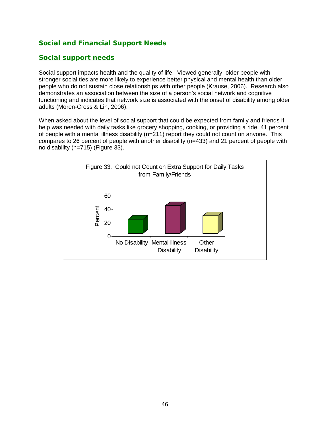### *Social and Financial Support Needs*

#### *Social support needs*

Social support impacts health and the quality of life. Viewed generally, older people with stronger social ties are more likely to experience better physical and mental health than older people who do not sustain close relationships with other people (Krause, 2006). Research also demonstrates an association between the size of a person's social network and cognitive functioning and indicates that network size is associated with the onset of disability among older adults (Moren-Cross & Lin, 2006).

When asked about the level of social support that could be expected from family and friends if help was needed with daily tasks like grocery shopping, cooking, or providing a ride, 41 percent of people with a mental illness disability (n=211) report they could not count on anyone. This compares to 26 percent of people with another disability (n=433) and 21 percent of people with no disability (n=715) (Figure 33).

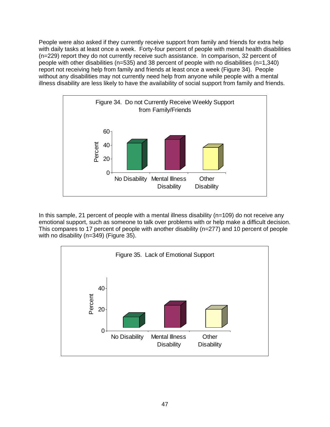People were also asked if they currently receive support from family and friends for extra help with daily tasks at least once a week. Forty-four percent of people with mental health disabilities (n=229) report they do not currently receive such assistance. In comparison, 32 percent of people with other disabilities (n=535) and 38 percent of people with no disabilities (n=1,340) report not receiving help from family and friends at least once a week (Figure 34). People without any disabilities may not currently need help from anyone while people with a mental illness disability are less likely to have the availability of social support from family and friends.



In this sample, 21 percent of people with a mental illness disability ( $n=109$ ) do not receive any emotional support, such as someone to talk over problems with or help make a difficult decision. This compares to 17 percent of people with another disability (n=277) and 10 percent of people with no disability (n=349) (Figure 35).

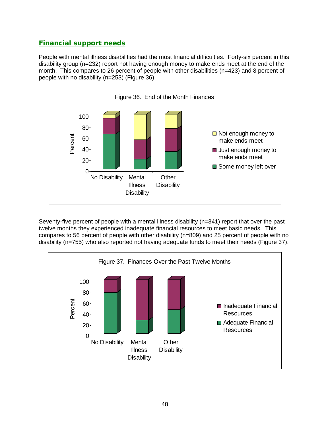## *Financial support needs*

People with mental illness disabilities had the most financial difficulties. Forty-six percent in this disability group (n=232) report not having enough money to make ends meet at the end of the month. This compares to 26 percent of people with other disabilities (n=423) and 8 percent of people with no disability (n=253) (Figure 36).



Seventy-five percent of people with a mental illness disability (n=341) report that over the past twelve months they experienced inadequate financial resources to meet basic needs. This compares to 56 percent of people with other disability (n=809) and 25 percent of people with no disability (n=755) who also reported not having adequate funds to meet their needs (Figure 37).

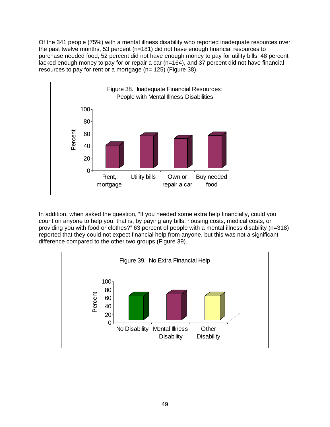Of the 341 people (75%) with a mental illness disability who reported inadequate resources over the past twelve months, 53 percent (n=181) did not have enough financial resources to purchase needed food, 52 percent did not have enough money to pay for utility bills, 48 percent lacked enough money to pay for or repair a car (n=164), and 37 percent did not have financial resources to pay for rent or a mortgage (n= 125) (Figure 38).



In addition, when asked the question, "If you needed some extra help financially, could you count on anyone to help you, that is, by paying any bills, housing costs, medical costs, or providing you with food or clothes?" 63 percent of people with a mental illness disability (n=318) reported that they could not expect financial help from anyone, but this was not a significant difference compared to the other two groups (Figure 39).

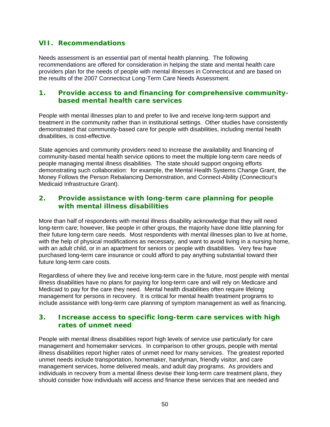### **VII. Recommendations**

Needs assessment is an essential part of mental health planning. The following recommendations are offered for consideration in helping the state and mental health care providers plan for the needs of people with mental illnesses in Connecticut and are based on the results of the 2007 Connecticut Long-Term Care Needs Assessment.

#### **1. Provide access to and financing for comprehensive communitybased mental health care services**

People with mental illnesses plan to and prefer to live and receive long-term support and treatment in the community rather than in institutional settings. Other studies have consistently demonstrated that community-based care for people with disabilities, including mental health disabilities, is cost-effective.

State agencies and community providers need to increase the availability and financing of community-based mental health service options to meet the multiple long-term care needs of people managing mental illness disabilities. The state should support ongoing efforts demonstrating such collaboration: for example, the Mental Health Systems Change Grant, the Money Follows the Person Rebalancing Demonstration, and Connect-Ability (Connecticut's Medicaid Infrastructure Grant).

#### **2. Provide assistance with long-term care planning for people with mental illness disabilities**

More than half of respondents with mental illness disability acknowledge that they will need long-term care; however, like people in other groups, the majority have done little planning for their future long-term care needs. Most respondents with mental illnesses plan to live at home, with the help of physical modifications as necessary, and want to avoid living in a nursing home, with an adult child, or in an apartment for seniors or people with disabilities. Very few have purchased long-term care insurance or could afford to pay anything substantial toward their future long-term care costs.

Regardless of where they live and receive long-term care in the future, most people with mental illness disabilities have no plans for paying for long-term care and will rely on Medicare and Medicaid to pay for the care they need. Mental health disabilities often require lifelong management for persons in recovery. It is critical for mental health treatment programs to include assistance with long-term care planning of symptom management as well as financing.

#### **3. Increase access to specific long-term care services with high rates of unmet need**

People with mental illness disabilities report high levels of service use particularly for care management and homemaker services. In comparison to other groups, people with mental illness disabilities report higher rates of unmet need for many services. The greatest reported unmet needs include transportation, homemaker, handyman, friendly visitor, and care management services, home delivered meals, and adult day programs. As providers and individuals in recovery from a mental illness devise their long-term care treatment plans, they should consider how individuals will access and finance these services that are needed and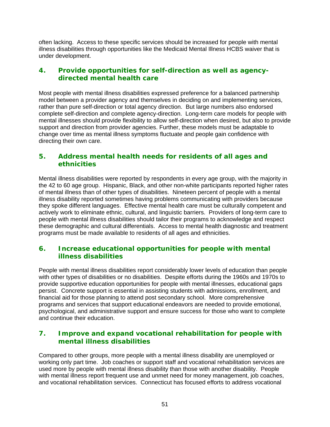often lacking. Access to these specific services should be increased for people with mental illness disabilities through opportunities like the Medicaid Mental Illness HCBS waiver that is under development.

#### **4. Provide opportunities for self-direction as well as agencydirected mental health care**

Most people with mental illness disabilities expressed preference for a balanced partnership model between a provider agency and themselves in deciding on and implementing services, rather than pure self-direction or total agency direction. But large numbers also endorsed complete self-direction and complete agency-direction. Long-term care models for people with mental illnesses should provide flexibility to allow self-direction when desired, but also to provide support and direction from provider agencies. Further, these models must be adaptable to change over time as mental illness symptoms fluctuate and people gain confidence with directing their own care.

#### **5. Address mental health needs for residents of all ages and ethnicities**

Mental illness disabilities were reported by respondents in every age group, with the majority in the 42 to 60 age group. Hispanic, Black, and other non-white participants reported higher rates of mental illness than of other types of disabilities. Nineteen percent of people with a mental illness disability reported sometimes having problems communicating with providers because they spoke different languages. Effective mental health care must be culturally competent and actively work to eliminate ethnic, cultural, and linguistic barriers. Providers of long-term care to people with mental illness disabilities should tailor their programs to acknowledge and respect these demographic and cultural differentials. Access to mental health diagnostic and treatment programs must be made available to residents of all ages and ethnicities.

### **6. Increase educational opportunities for people with mental illness disabilities**

People with mental illness disabilities report considerably lower levels of education than people with other types of disabilities or no disabilities. Despite efforts during the 1960s and 1970s to provide supportive education opportunities for people with mental illnesses, educational gaps persist. Concrete support is essential in assisting students with admissions, enrollment, and financial aid for those planning to attend post secondary school. More comprehensive programs and services that support educational endeavors are needed to provide emotional, psychological, and administrative support and ensure success for those who want to complete and continue their education.

### **7. Improve and expand vocational rehabilitation for people with mental illness disabilities**

Compared to other groups, more people with a mental illness disability are unemployed or working only part time. Job coaches or support staff and vocational rehabilitation services are used more by people with mental illness disability than those with another disability. People with mental illness report frequent use and unmet need for money management, job coaches, and vocational rehabilitation services. Connecticut has focused efforts to address vocational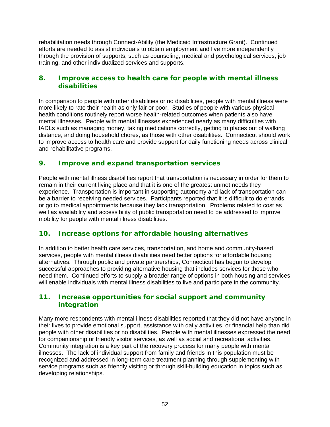rehabilitation needs through Connect-Ability (the Medicaid Infrastructure Grant). Continued efforts are needed to assist individuals to obtain employment and live more independently through the provision of supports, such as counseling, medical and psychological services, job training, and other individualized services and supports.

#### **8. Improve access to health care for people with mental illness disabilities**

In comparison to people with other disabilities or no disabilities, people with mental illness were more likely to rate their health as only fair or poor. Studies of people with various physical health conditions routinely report worse health-related outcomes when patients also have mental illnesses. People with mental illnesses experienced nearly as many difficulties with IADLs such as managing money, taking medications correctly, getting to places out of walking distance, and doing household chores, as those with other disabilities. Connecticut should work to improve access to health care and provide support for daily functioning needs across clinical and rehabilitative programs.

#### **9. Improve and expand transportation services**

People with mental illness disabilities report that transportation is necessary in order for them to remain in their current living place and that it is one of the greatest unmet needs they experience. Transportation is important in supporting autonomy and lack of transportation can be a barrier to receiving needed services. Participants reported that it is difficult to do errands or go to medical appointments because they lack transportation. Problems related to cost as well as availability and accessibility of public transportation need to be addressed to improve mobility for people with mental illness disabilities.

### **10. Increase options for affordable housing alternatives**

In addition to better health care services, transportation, and home and community-based services, people with mental illness disabilities need better options for affordable housing alternatives. Through public and private partnerships, Connecticut has begun to develop successful approaches to providing alternative housing that includes services for those who need them. Continued efforts to supply a broader range of options in both housing and services will enable individuals with mental illness disabilities to live and participate in the community.

#### **11. Increase opportunities for social support and community integration**

Many more respondents with mental illness disabilities reported that they did not have anyone in their lives to provide emotional support, assistance with daily activities, or financial help than did people with other disabilities or no disabilities. People with mental illnesses expressed the need for companionship or friendly visitor services, as well as social and recreational activities. Community integration is a key part of the recovery process for many people with mental illnesses. The lack of individual support from family and friends in this population must be recognized and addressed in long-term care treatment planning through supplementing with service programs such as friendly visiting or through skill-building education in topics such as developing relationships.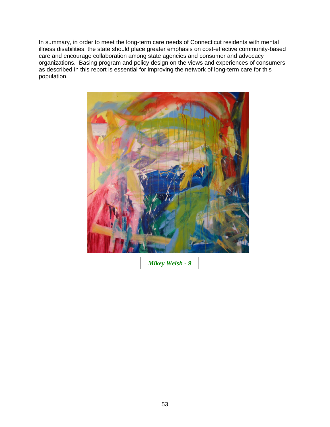In summary, in order to meet the long-term care needs of Connecticut residents with mental illness disabilities, the state should place greater emphasis on cost-effective community-based care and encourage collaboration among state agencies and consumer and advocacy organizations. Basing program and policy design on the views and experiences of consumers as described in this report is essential for improving the network of long-term care for this population.



*Mikey Welsh - 9*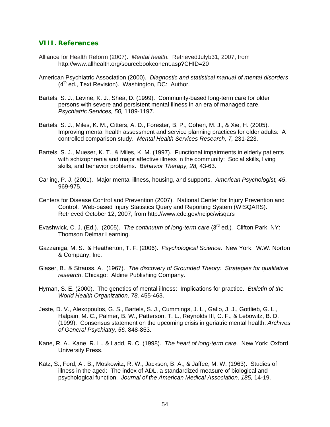#### **VIII. References**

- Alliance for Health Reform (2007). *Mental health.* RetrievedJulyb31, 2007, from <http://www.allhealth.org/sourcebookconent.asp?CHID=20>
- American Psychiatric Association (2000). *Diagnostic and statistical manual of mental disorders*   $(4<sup>th</sup>$  ed., Text Revision). Washington, DC: Author.
- Bartels, S. J., Levine, K. J., Shea, D. (1999). Community-based long-term care for older persons with severe and persistent mental illness in an era of managed care. *Psychiatric Services, 50,* 1189-1197.
- Bartels, S. J., Miles, K. M., Citters, A. D., Forester, B. P., Cohen, M. J., & Xie, H. (2005). Improving mental health assessment and service planning practices for older adults: A controlled comparison study. *Mental Health Services Research, 7,* 231-223.
- Bartels, S. J., Mueser, K. T., & Miles, K. M. (1997). Functional impairments in elderly patients with schizophrenia and major affective illness in the community: Social skills, living skills, and behavior problems. *Behavior Therapy, 28,* 43-63.
- Carling, P. J. (2001). Major mental illness, housing, and supports. *American Psychologist, 45*, 969-975.
- Centers for Disease Control and Prevention (2007). National Center for Injury Prevention and Control. Web-based Injury Statistics Query and Reporting System (WISQARS). Retrieved October 12, 2007, from http.//www.cdc.gov/ncipc/wisqars
- Evashwick, C. J. (Ed.). (2005). *The continuum of long-term care* (3rd ed.)*.* Clifton Park, NY: Thomson Delmar Learning.
- Gazzaniga, M. S., & Heatherton, T. F. (2006). *Psychological Science*. New York: W.W. Norton & Company, Inc.
- Glaser, B., & Strauss, A. (1967). *The discovery of Grounded Theory: Strategies for qualitative research*. Chicago: Aldine Publishing Company.
- Hyman, S. E. (2000). The genetics of mental illness: Implications for practice. *Bulletin of the World Health Organization, 78,* 455-463.
- Jeste, D. V., Alexopoulos, G. S., Bartels, S. J., Cummings, J. L., Gallo, J. J., Gottlieb, G. L., Halpain, M. C., Palmer, B. W., Patterson, T. L., Reynolds III, C. F., & Lebowitz, B. D. (1999). Consensus statement on the upcoming crisis in geriatric mental health. *Archives of General Psychiatry, 56,* 848-853.
- Kane, R. A., Kane, R. L., & Ladd, R. C. (1998). *The heart of long-term care.* New York: Oxford University Press.
- Katz, S., Ford, A . B., Moskowitz, R. W., Jackson, B. A., & Jaffee, M. W. (1963). Studies of illness in the aged: The index of ADL, a standardized measure of biological and psychological function. *Journal of the American Medical Association, 185,* 14-19.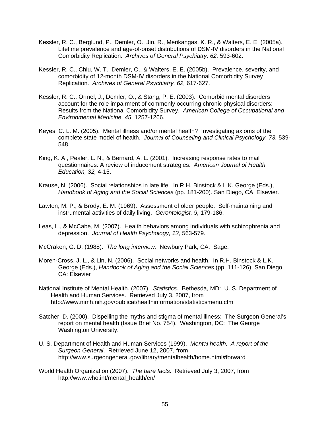- Kessler, R. C., Berglund, P., Demler, O., Jin, R., Merikangas, K. R., & Walters, E. E. (2005a). Lifetime prevalence and age-of-onset distributions of DSM-IV disorders in the National Comorbidity Replication. *Archives of General Psychiatry, 62,* 593-602.
- Kessler, R. C., Chiu, W. T., Demler, O., & Walters, E. E. (2005b). Prevalence, severity, and comorbidity of 12-month DSM-IV disorders in the National Comorbidity Survey Replication. *Archives of General Psychiatry, 62,* 617-627.
- Kessler, R. C., Ormel, J., Demler, O., & Stang, P. E. (2003). Comorbid mental disorders account for the role impairment of commonly occurring chronic physical disorders: Results from the National Comorbidity Survey. *American College of Occupational and Environmental Medicine, 45,* 1257-1266.
- Keyes, C. L. M. (2005). Mental illness and/or mental health? Investigating axioms of the complete state model of health. *Journal of Counseling and Clinical Psychology, 73,* 539- 548.
- King, K. A., Pealer, L. N., & Bernard, A. L. (2001). Increasing response rates to mail questionnaires: A review of inducement strategies. *American Journal of Health Education, 32,* 4-15.
- Krause, N. (2006). Social relationships in late life. In R.H. Binstock & L.K. George (Eds.), *Handbook of Aging and the Social Sciences* (pp. 181-200). San Diego, CA: Elsevier.
- Lawton, M. P., & Brody, E. M. (1969). Assessment of older people: Self-maintaining and instrumental activities of daily living. *Gerontologist, 9,* 179-186.
- Leas, L., & McCabe, M. (2007). Health behaviors among individuals with schizophrenia and depression. *Journal of Health Psychology, 12,* 563-579.
- McCraken, G. D. (1988). *The long interview.* Newbury Park, CA: Sage.
- Moren-Cross, J. L., & Lin, N. (2006). Social networks and health. In R.H. Binstock & L.K. George (Eds.), *Handbook of Aging and the Social Sciences* (pp. 111-126). San Diego, CA: Elsevier
- National Institute of Mental Health. (2007). *Statistics.* Bethesda, MD: U. S. Department of Health and Human Services. Retrieved July 3, 2007, from <http://www.nimh.nih.gov/publicat/healthinformation/statisticsmenu.cfm>
- Satcher, D. (2000). Dispelling the myths and stigma of mental illness: The Surgeon General's report on mental health (Issue Brief No. 754). Washington, DC: The George Washington University.
- U. S. Department of Health and Human Services (1999). *Mental health: A report of the Surgeon General*. Retrieved June 12, 2007, from http://www.surgeongeneral.gov/library/mentalhealth/home.html#forward
- World Health Organization (2007). *The bare facts.* Retrieved July 3, 2007, from http://www.who.int/mental\_health/en/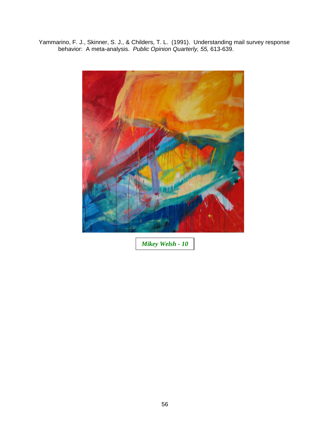Yammarino, F. J., Skinner, S. J., & Childers, T. L. (1991). Understanding mail survey response behavior: A meta-analysis. *Public Opinion Quarterly, 55,* 613-639.



*Mikey Welsh - 10*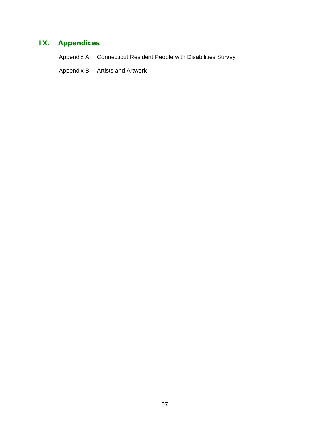# **IX. Appendices**

Appendix A: Connecticut Resident People with Disabilities Survey

Appendix B: Artists and Artwork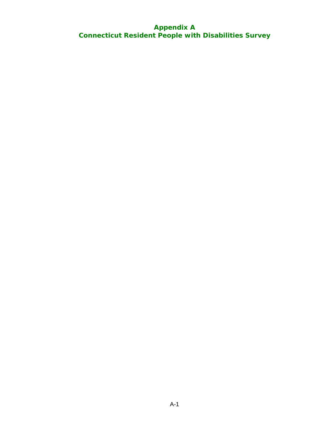### **Appendix A Connecticut Resident People with Disabilities Survey**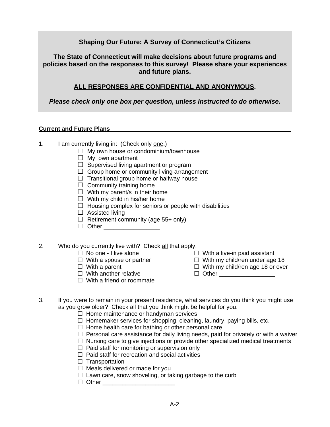#### **Shaping Our Future: A Survey of Connecticut's Citizens**

**The State of Connecticut will make decisions about future programs and policies based on the responses to this survey! Please share your experiences and future plans.** 

#### **ALL RESPONSES ARE CONFIDENTIAL AND ANONYMOUS.**

*Please check only one box per question, unless instructed to do otherwise.* 

#### **Current and Future Plans**

- 1. I am currently living in: (Check only one.)
	- $\Box$  My own house or condominium/townhouse
	- $\Box$  My own apartment
	- $\Box$  Supervised living apartment or program
	- $\Box$  Group home or community living arrangement
	- $\Box$  Transitional group home or halfway house
	- $\Box$  Community training home
	- $\Box$  With my parent/s in their home
	- $\Box$  With my child in his/her home
	- $\Box$  Housing complex for seniors or people with disabilities
	- $\Box$  Assisted living
	- $\Box$  Retirement community (age 55+ only)
	- Other \_\_\_\_\_\_\_\_\_\_\_\_\_\_\_\_\_
- 2. Who do you currently live with? Check all that apply.
	-
	-
	-
	-
	- $\Box$  With a friend or roommate
	- $\Box$  No one I live alone  $\Box$  With a live-in paid assistant
	- $\Box$  With a spouse or partner  $\Box$  With my child/ren under age 18
	- $\Box$  With a parent  $\Box$  With my child/ren age 18 or over
	- $\Box$  With another relative  $\Box$  Other \_\_\_\_\_\_\_\_\_\_\_\_\_\_\_\_\_\_
- 3. If you were to remain in your present residence, what services do you think you might use as you grow older? Check all that you think might be helpful for you.
	- $\Box$  Home maintenance or handyman services
	- $\Box$  Homemaker services for shopping, cleaning, laundry, paying bills, etc.
	- $\Box$  Home health care for bathing or other personal care
	- $\Box$  Personal care assistance for daily living needs, paid for privately or with a waiver
	- $\Box$  Nursing care to give injections or provide other specialized medical treatments
	- $\Box$  Paid staff for monitoring or supervision only
	- $\Box$  Paid staff for recreation and social activities
	- $\Box$  Transportation
	- $\Box$  Meals delivered or made for you
	- $\Box$  Lawn care, snow shoveling, or taking garbage to the curb
	- $\Box$  Other  $\_\_$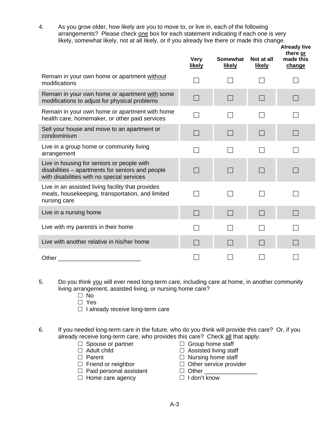4. As you grow older, how likely are you to move to, or live in, each of the following arrangements? Please check one box for each statement indicating if each one is very likely, somewhat likely, not at all likely, or if you already live there or made this change.

|                                                                                                                                              | <b>Very</b><br><b>likely</b> | <b>Somewhat</b><br><b>likely</b> | Not at all<br>likely | <b>Already live</b><br>there or<br>made this<br>change |
|----------------------------------------------------------------------------------------------------------------------------------------------|------------------------------|----------------------------------|----------------------|--------------------------------------------------------|
| Remain in your own home or apartment without<br>modifications                                                                                |                              |                                  |                      |                                                        |
| Remain in your own home or apartment with some<br>modifications to adjust for physical problems                                              | $\vert \ \ \vert$            | $\mathcal{L}_{\mathcal{A}}$      | $\Box$               |                                                        |
| Remain in your own home or apartment with home<br>health care, homemaker, or other paid services                                             |                              |                                  |                      |                                                        |
| Sell your house and move to an apartment or<br>condominium                                                                                   | $\Box$                       | $\Box$                           | $\Box$               |                                                        |
| Live in a group home or community living<br>arrangement                                                                                      |                              |                                  |                      |                                                        |
| Live in housing for seniors or people with<br>disabilities - apartments for seniors and people<br>with disabilities with no special services |                              |                                  |                      |                                                        |
| Live in an assisted living facility that provides<br>meals, housekeeping, transportation, and limited<br>nursing care                        |                              | $\overline{\phantom{a}}$         |                      |                                                        |
| Live in a nursing home                                                                                                                       | $\Box$                       | $\Box$                           |                      |                                                        |
| Live with my parent/s in their home                                                                                                          |                              |                                  |                      |                                                        |
| Live with another relative in his/her home                                                                                                   |                              |                                  |                      |                                                        |
| Other                                                                                                                                        |                              |                                  |                      |                                                        |

- 5. Do you think you will ever need long-term care, including care at home, in another community living arrangement, assisted living, or nursing home care?
	- $\square$  No
	- □ Yes
	- $\Box$  I already receive long-term care
- 6. If you needed long-term care in the future, who do you think will provide this care? Or, if you already receive long-term care, who provides this care? Check all that apply.
	-
	-
	-
	-
	- $\Box$  Paid personal assistant  $\Box$  Other
	- $\Box$  Home care agency  $\Box$  I don't know
	- $\Box$  Spouse or partner  $\Box$  Group home staff  $\Box$  Adult child
		- $\Box$  Assisted living staff
	- $\Box$  Parent  $\Box$  Nursing home staff
	- $\Box$  Friend or neighbor  $\Box$  Other service provider
		-
		-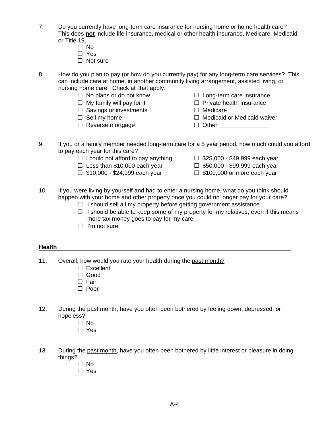- 7. Do you currently have long-term care insurance for nursing home or home health care? This does **not** include life insurance, medical or other health insurance, Medicare, Medicaid, or Title 19.
	- $\Box$  No
	- Yes
	- $\Box$  Not sure
- 8. How do you plan to pay (or how do you currently pay) for any long-term care services? This can include care at home, in another community living arrangement, assisted living, or nursing home care. Check all that apply.
	- $\Box$  No plans or do not know  $\Box$  Long-term care insurance
	-
	- $\Box$  Savings or investments  $\Box$  Medicare
	-
	- $\Box$  Reverse mortgage  $\Box$  Other
- - $\Box$  My family will pay for it  $\Box$  Private health insurance
		-
	- $\Box$  Sell my home  $\Box$  Medicaid or Medicaid waiver
		-
- 9. If you or a family member needed long-term care for a 5 year period, how much could you afford to pay each year for this care?
	- $\Box$  I could not afford to pay anything  $\Box$  \$25,000 \$49,999 each year
	- $\Box$  Less than \$10,000 each year  $\Box$  \$50,000 \$99,999 each year
	- $\Box$  \$10,000 \$24,999 each year  $\Box$  \$100,000 or more each year
- 
- -
- 10. If you were living by yourself and had to enter a nursing home, what do you think should happen with your home and other property once you could no longer pay for your care?
	- $\Box$  I should sell all my property before getting government assistance
	- $\Box$  I should be able to keep some of my property for my relatives, even if this means more tax money goes to pay for my care
	- $\Box$  I'm not sure

#### **Health**

- 11. Overall, how would you rate your health during the past month?
	- $\Box$  Excellent
	- Good
	- □ Fair
	- □ Poor
- 12. During the past month, have you often been bothered by feeling down, depressed, or hopeless?
	- $\Box$  No
	- □ Yes
- 13. During the past month, have you often been bothered by little interest or pleasure in doing things?
	- □ No
	- □ Yes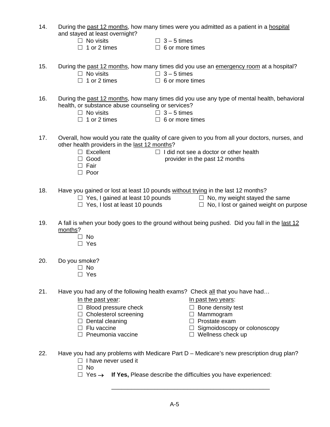- 14. During the past 12 months, how many times were you admitted as a patient in a hospital and stayed at least overnight?
	- -
		- $\Box$  No visits  $\Box$  3 5 times  $\Box$  3 5 times  $\Box$  6 or more times
			- $\Box$  6 or more times
- 15. During the past 12 months, how many times did you use an emergency room at a hospital?
	-
- 
- $\Box$  No visits  $\Box$  3 5 times  $\Box$  3 5 times  $\Box$  6 or more times  $\Box$  6 or more times
- 16. During the past 12 months, how many times did you use any type of mental health, behavioral health, or substance abuse counseling or services?
	- $\Box$  No visits  $\Box$  3 5 times  $\Box$  3 5 times
	- $\Box$  6 or more times
- 17. Overall, how would you rate the quality of care given to you from all your doctors, nurses, and other health providers in the last 12 months?
	- $\Box$  Excellent  $\Box$  I did not see a doctor or other health
	- $\Box$  Good provider in the past 12 months
	- $\Box$  Fair
	- □ Poor
- 18. Have you gained or lost at least 10 pounds without trying in the last 12 months?
	- $\Box$  Yes, I gained at least 10 pounds  $\Box$  No, my weight stayed the same
		-
	-
	- $\Box$  Yes, I lost at least 10 pounds  $\Box$  No, I lost or gained weight on purpose
- 19. A fall is when your body goes to the ground without being pushed. Did you fall in the last 12 months?
	- $\Box$  No
	- $\Box$  Yes
- 20. Do you smoke?
	- $\Box$  No
	- $\Box$  Yes
- 21. Have you had any of the following health exams? Check all that you have had…
	-
	- $\Box$  Blood pressure check  $\Box$  Bone density test
	- $\Box$  Cholesterol screening  $\Box$  Mammogram
	-
	-
	- $\Box$  Pneumonia vaccine  $\Box$  Wellness check up
	- In the past year: In past two years:
		-
		-
	- $\Box$  Dental cleaning  $\Box$  Prostate exam
	- $\Box$  Flu vaccine  $\Box$  Sigmoidoscopy or colonoscopy
		-
- 22. Have you had any problems with Medicare Part D Medicare's new prescription drug plan?  $\Box$  I have never used it

 $\overline{\phantom{a}}$  ,  $\overline{\phantom{a}}$  ,  $\overline{\phantom{a}}$  ,  $\overline{\phantom{a}}$  ,  $\overline{\phantom{a}}$  ,  $\overline{\phantom{a}}$  ,  $\overline{\phantom{a}}$  ,  $\overline{\phantom{a}}$  ,  $\overline{\phantom{a}}$  ,  $\overline{\phantom{a}}$  ,  $\overline{\phantom{a}}$  ,  $\overline{\phantom{a}}$  ,  $\overline{\phantom{a}}$  ,  $\overline{\phantom{a}}$  ,  $\overline{\phantom{a}}$  ,  $\overline{\phantom{a}}$ 

- $\Box$  No
- Yes → **If Yes,** Please describe the difficulties you have experienced: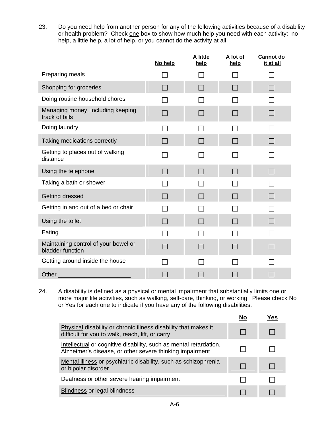23. Do you need help from another person for any of the following activities because of a disability or health problem? Check one box to show how much help you need with each activity: no help, a little help, a lot of help, or you cannot do the activity at all.

|                                                                                                                                                                                                                                | No help | A little<br>help | A lot of<br>help | <b>Cannot do</b><br>it at all |
|--------------------------------------------------------------------------------------------------------------------------------------------------------------------------------------------------------------------------------|---------|------------------|------------------|-------------------------------|
| Preparing meals                                                                                                                                                                                                                |         |                  |                  |                               |
| Shopping for groceries                                                                                                                                                                                                         | ×.      | $\blacksquare$   | $\blacksquare$   | m.                            |
| Doing routine household chores                                                                                                                                                                                                 |         |                  |                  |                               |
| Managing money, including keeping<br>track of bills                                                                                                                                                                            |         |                  |                  |                               |
| Doing laundry                                                                                                                                                                                                                  |         |                  |                  |                               |
| Taking medications correctly                                                                                                                                                                                                   |         | $\blacksquare$   | $\blacksquare$   | $\Box$                        |
| Getting to places out of walking<br>distance                                                                                                                                                                                   |         |                  |                  |                               |
| Using the telephone                                                                                                                                                                                                            |         | $\Box$           | $\Box$           | $\Box$                        |
| Taking a bath or shower                                                                                                                                                                                                        |         |                  |                  |                               |
| Getting dressed                                                                                                                                                                                                                |         |                  |                  |                               |
| Getting in and out of a bed or chair                                                                                                                                                                                           |         |                  |                  |                               |
| Using the toilet                                                                                                                                                                                                               |         | $\Box$           |                  |                               |
| Eating                                                                                                                                                                                                                         |         |                  |                  |                               |
| Maintaining control of your bowel or<br>bladder function                                                                                                                                                                       |         |                  |                  |                               |
| Getting around inside the house                                                                                                                                                                                                |         |                  |                  |                               |
| Other and the control of the control of the control of the control of the control of the control of the control of the control of the control of the control of the control of the control of the control of the control of th |         |                  |                  |                               |

24. A disability is defined as a physical or mental impairment that substantially limits one or more major life activities, such as walking, self-care, thinking, or working. Please check No or Yes for each one to indicate if you have any of the following disabilities.

|                                                                                                                               | Yes |
|-------------------------------------------------------------------------------------------------------------------------------|-----|
| Physical disability or chronic illness disability that makes it<br>difficult for you to walk, reach, lift, or carry           |     |
| Intellectual or cognitive disability, such as mental retardation,<br>Alzheimer's disease, or other severe thinking impairment |     |
| Mental illness or psychiatric disability, such as schizophrenia<br>or bipolar disorder                                        |     |
| Deafness or other severe hearing impairment                                                                                   |     |
| <b>Blindness or legal blindness</b>                                                                                           |     |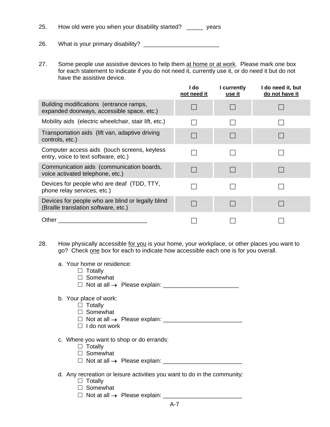25. How old were you when your disability started? \_\_\_\_\_ years

26. What is your primary disability? \_\_\_\_\_\_\_\_\_\_\_\_\_\_\_\_\_\_\_\_\_\_\_

27. Some people use assistive devices to help them at home or at work. Please mark one box for each statement to indicate if you do not need it, currently use it, or do need it but do not have the assistive device.

|                                                                                           | ∣ do<br>not need it | I currently<br><u>use it</u> | do need it, but<br>do not have it |
|-------------------------------------------------------------------------------------------|---------------------|------------------------------|-----------------------------------|
| Building modifications (entrance ramps,<br>expanded doorways, accessible space, etc.)     |                     |                              |                                   |
| Mobility aids (electric wheelchair, stair lift, etc.)                                     |                     |                              |                                   |
| Transportation aids (lift van, adaptive driving<br>controls, etc.)                        |                     |                              |                                   |
| Computer access aids (touch screens, keyless<br>entry, voice to text software, etc.)      |                     |                              |                                   |
| Communication aids (communication boards,<br>voice activated telephone, etc.)             |                     |                              |                                   |
| Devices for people who are deaf (TDD, TTY,<br>phone relay services, etc.)                 |                     |                              |                                   |
| Devices for people who are blind or legally blind<br>(Braille translation software, etc.) |                     |                              |                                   |
| Other                                                                                     |                     |                              |                                   |

- 28. How physically accessible for you is your home, your workplace, or other places you want to go? Check one box for each to indicate how accessible each one is for you overall.
	- a. Your home or residence:
		- $\Box$  Totally
		- □ Somewhat
		- Not at all → Please explain: \_\_\_\_\_\_\_\_\_\_\_\_\_\_\_\_\_\_\_\_\_\_\_

#### b. Your place of work:

- $\Box$  Totally
- □ Somewhat
- Not at all → Please explain: \_\_\_\_\_\_\_\_\_\_\_\_\_\_\_\_\_\_\_\_\_\_\_\_
- $\Box$  I do not work
- c. Where you want to shop or do errands:
	- $\Box$  Totally
	- □ Somewhat
	- Not at all → Please explain: \_\_\_\_\_\_\_\_\_\_\_\_\_\_\_\_\_\_\_\_\_\_\_\_
- d. Any recreation or leisure activities you want to do in the community:
	- $\Box$  Totally
	- □ Somewhat
	- Not at all → Please explain: \_\_\_\_\_\_\_\_\_\_\_\_\_\_\_\_\_\_\_\_\_\_\_\_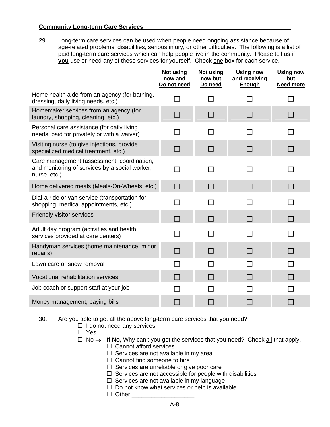#### **Community Long-term Care Services**

29. Long-term care services can be used when people need ongoing assistance because of age-related problems, disabilities, serious injury, or other difficulties. The following is a list of paid long-term care services which can help people live in the community. Please tell us if **you** use or need any of these services for yourself. Check one box for each service.

|                                                                                                              | Not using<br>now and<br>Do not need | Not using<br>now but<br>Do need | <b>Using now</b><br>and receiving<br><b>Enough</b> | <b>Using now</b><br>but<br><b>Need more</b> |
|--------------------------------------------------------------------------------------------------------------|-------------------------------------|---------------------------------|----------------------------------------------------|---------------------------------------------|
| Home health aide from an agency (for bathing,<br>dressing, daily living needs, etc.)                         |                                     |                                 |                                                    |                                             |
| Homemaker services from an agency (for<br>laundry, shopping, cleaning, etc.)                                 | $\Box$                              | П                               | <b>I</b>                                           | $\mathcal{L}_{\mathcal{A}}$                 |
| Personal care assistance (for daily living<br>needs, paid for privately or with a waiver)                    |                                     |                                 |                                                    |                                             |
| Visiting nurse (to give injections, provide<br>specialized medical treatment, etc.)                          | $\vert \ \ \vert$                   | $\Box$                          | a s                                                |                                             |
| Care management (assessment, coordination,<br>and monitoring of services by a social worker,<br>nurse, etc.) |                                     |                                 |                                                    |                                             |
| Home delivered meals (Meals-On-Wheels, etc.)                                                                 | $\Box$                              | $\Box$                          | $\blacksquare$                                     | П                                           |
| Dial-a-ride or van service (transportation for<br>shopping, medical appointments, etc.)                      |                                     |                                 |                                                    |                                             |
| Friendly visitor services                                                                                    |                                     | l I                             | <b>The Co</b>                                      | $\Box$                                      |
| Adult day program (activities and health<br>services provided at care centers)                               |                                     |                                 |                                                    |                                             |
| Handyman services (home maintenance, minor<br>repairs)                                                       |                                     |                                 |                                                    |                                             |
| Lawn care or snow removal                                                                                    |                                     |                                 |                                                    |                                             |
| Vocational rehabilitation services                                                                           | $\mathcal{L}$                       |                                 |                                                    | $\blacksquare$                              |
| Job coach or support staff at your job                                                                       |                                     |                                 |                                                    |                                             |
| Money management, paying bills                                                                               |                                     |                                 |                                                    |                                             |

30. Are you able to get all the above long-term care services that you need?

- $\Box$  I do not need any services
- □ Yes
- No → **If No,** Why can't you get the services that you need? Check all that apply.
	- $\Box$  Cannot afford services
	- $\Box$  Services are not available in my area
	- $\Box$  Cannot find someone to hire
	- $\Box$  Services are unreliable or give poor care
	- $\Box$  Services are not accessible for people with disabilities
	- $\Box$  Services are not available in my language
	- $\Box$  Do not know what services or help is available
	- $\Box$  Other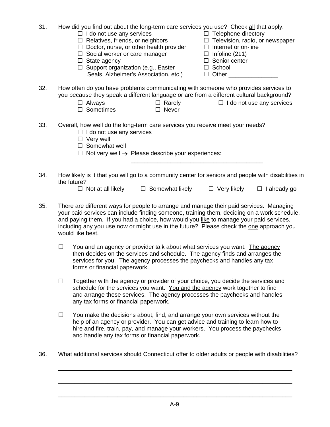| 31. | How did you find out about the long-term care services you use? Check all that apply.<br>$\Box$ Telephone directory<br>$\Box$ I do not use any services<br>$\Box$ Television, radio, or newspaper<br>$\Box$ Relatives, friends, or neighbors<br>$\Box$ Doctor, nurse, or other health provider<br>$\Box$ Internet or on-line<br>$\Box$ Social worker or care manager<br>$\Box$ Infoline (211)<br>$\Box$ Senior center<br>$\Box$ State agency<br>$\Box$ Support organization (e.g., Easter<br>$\Box$ School<br>Seals, Alzheimer's Association, etc.)<br>Other the contract of the contract of the contract of the contract of the contract of the contract of the contract of the contract of the contract of the contract of the contract of the contract of the contract of the cont<br>$\Box$ |
|-----|-------------------------------------------------------------------------------------------------------------------------------------------------------------------------------------------------------------------------------------------------------------------------------------------------------------------------------------------------------------------------------------------------------------------------------------------------------------------------------------------------------------------------------------------------------------------------------------------------------------------------------------------------------------------------------------------------------------------------------------------------------------------------------------------------|
| 32. | How often do you have problems communicating with someone who provides services to<br>you because they speak a different language or are from a different cultural background?<br>$\Box$ Rarely<br>$\Box$ I do not use any services<br>Always<br>$\Box$ Sometimes<br>Never<br>$\Box$                                                                                                                                                                                                                                                                                                                                                                                                                                                                                                            |
| 33. | Overall, how well do the long-term care services you receive meet your needs?<br>$\Box$ I do not use any services<br>$\Box$ Very well<br>$\Box$ Somewhat well<br>$\Box$ Not very well $\rightarrow$ Please describe your experiences:                                                                                                                                                                                                                                                                                                                                                                                                                                                                                                                                                           |
| 34. | How likely is it that you will go to a community center for seniors and people with disabilities in<br>the future?<br>$\Box$ Somewhat likely<br>$\Box$ Very likely<br>$\Box$ I already go<br>$\Box$ Not at all likely                                                                                                                                                                                                                                                                                                                                                                                                                                                                                                                                                                           |
| 35. | There are different wavs for people to arrange and manage their paid services. Managing                                                                                                                                                                                                                                                                                                                                                                                                                                                                                                                                                                                                                                                                                                         |

- 35. There are different ways for people to arrange and manage their paid services. Managing your paid services can include finding someone, training them, deciding on a work schedule, and paying them. If you had a choice, how would you like to manage your paid services, including any you use now or might use in the future? Please check the one approach you would like best.
	- $\Box$  You and an agency or provider talk about what services you want. The agency then decides on the services and schedule. The agency finds and arranges the services for you. The agency processes the paychecks and handles any tax forms or financial paperwork.
	- $\Box$  Together with the agency or provider of your choice, you decide the services and schedule for the services you want. You and the agency work together to find and arrange these services. The agency processes the paychecks and handles any tax forms or financial paperwork.
	- $\Box$  You make the decisions about, find, and arrange your own services without the help of an agency or provider. You can get advice and training to learn how to hire and fire, train, pay, and manage your workers. You process the paychecks and handle any tax forms or financial paperwork.
- 36. What additional services should Connecticut offer to older adults or people with disabilities?

 $\overline{\phantom{a}}$  , and the contribution of the contribution of the contribution of the contribution of the contribution of the contribution of the contribution of the contribution of the contribution of the contribution of the

\_\_\_\_\_\_\_\_\_\_\_\_\_\_\_\_\_\_\_\_\_\_\_\_\_\_\_\_\_\_\_\_\_\_\_\_\_\_\_\_\_\_\_\_\_\_\_\_\_\_\_\_\_\_\_\_\_\_\_\_\_\_\_\_\_\_\_\_\_\_\_

\_\_\_\_\_\_\_\_\_\_\_\_\_\_\_\_\_\_\_\_\_\_\_\_\_\_\_\_\_\_\_\_\_\_\_\_\_\_\_\_\_\_\_\_\_\_\_\_\_\_\_\_\_\_\_\_\_\_\_\_\_\_\_\_\_\_\_\_\_\_\_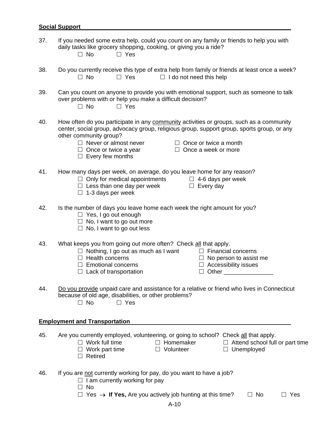### **Social Support**

| 37. | If you needed some extra help, could you count on any family or friends to help you with<br>daily tasks like grocery shopping, cooking, or giving you a ride?<br>$\Box$ No<br>$\Box$ Yes                                                                                                                                                                                |
|-----|-------------------------------------------------------------------------------------------------------------------------------------------------------------------------------------------------------------------------------------------------------------------------------------------------------------------------------------------------------------------------|
| 38. | Do you currently receive this type of extra help from family or friends at least once a week?<br>$\Box$ No<br>$\Box$ Yes<br>$\Box$ I do not need this help                                                                                                                                                                                                              |
| 39. | Can you count on anyone to provide you with emotional support, such as someone to talk<br>over problems with or help you make a difficult decision?<br>$\Box$ Yes<br>$\Box$ No                                                                                                                                                                                          |
| 40. | How often do you participate in any community activities or groups, such as a community<br>center, social group, advocacy group, religious group, support group, sports group, or any<br>other community group?<br>$\Box$ Never or almost never<br>$\Box$ Once or twice a month<br>$\Box$ Once or twice a year<br>$\Box$ Once a week or more<br>$\Box$ Every few months |
| 41. | How many days per week, on average, do you leave home for any reason?<br>$\Box$ Only for medical appointments<br>$\Box$ 4-6 days per week<br>$\Box$ Less than one day per week<br>$\Box$ Every day<br>$\Box$ 1-3 days per week                                                                                                                                          |
| 42. | Is the number of days you leave home each week the right amount for you?<br>$\Box$ Yes, I go out enough<br>$\Box$ No, I want to go out more<br>$\Box$ No, I want to go out less                                                                                                                                                                                         |
| 43. | What keeps you from going out more often? Check all that apply.<br>$\Box$ Nothing, I go out as much as I want<br>$\Box$ Financial concerns<br>$\Box$ Health concerns<br>$\Box$ No person to assist me<br>$\Box$ Accessibility issues<br>$\Box$ Emotional concerns<br>Other<br>$\Box$ Lack of transportation<br>ш                                                        |
| 44. | Do you provide unpaid care and assistance for a relative or friend who lives in Connecticut<br>because of old age, disabilities, or other problems?<br>$\Box$ No<br>$\Box$ Yes                                                                                                                                                                                          |
|     | <b>Employment and Transportation</b>                                                                                                                                                                                                                                                                                                                                    |
| 45. | Are you currently employed, volunteering, or going to school? Check all that apply.<br>$\Box$ Work full time<br>$\Box$ Homemaker<br>$\Box$ Attend school full or part time<br>$\Box$ Work part time<br>$\Box$ Volunteer<br>$\Box$ Unemployed<br>$\Box$ Retired                                                                                                          |
| 46. | If you are not currently working for pay, do you want to have a job?<br>$\Box$ I am currently working for pay<br>$\Box$ No<br>$\Box$ Yes $\rightarrow$ If Yes, Are you actively job hunting at this time?<br>$\Box$ No<br>Yes                                                                                                                                           |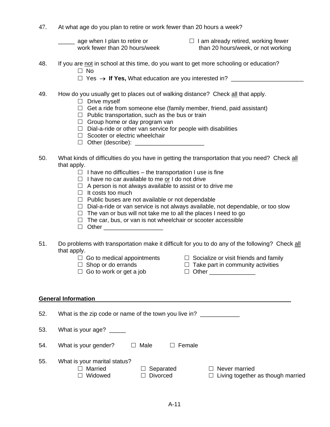47. At what age do you plan to retire or work fewer than 20 hours a week?

 $\Box$  age when I plan to retire or  $\Box$  I am already retired, working fewer

work fewer than 20 hours/week than 20 hours/week, or not working

- 48. If you are not in school at this time, do you want to get more schooling or education? □ No
	- $\Box$  Yes  $\rightarrow$  If Yes, What education are you interested in?
- 49. How do you usually get to places out of walking distance? Check all that apply.
	- $\Box$  Drive myself
	- $\Box$  Get a ride from someone else (family member, friend, paid assistant)
	- $\Box$  Public transportation, such as the bus or train
	- $\Box$  Group home or day program van
	- $\Box$  Dial-a-ride or other van service for people with disabilities
	- $\Box$  Scooter or electric wheelchair
	- $\Box$  Other (describe):
- 50. What kinds of difficulties do you have in getting the transportation that you need? Check all that apply.
	- $\Box$  I have no difficulties the transportation I use is fine
	- $\Box$  I have no car available to me or I do not drive
	- $\Box$  A person is not always available to assist or to drive me
	- $\Box$  It costs too much
	- $\Box$  Public buses are not available or not dependable
	- $\Box$  Dial-a-ride or van service is not always available, not dependable, or too slow
	- $\Box$  The van or bus will not take me to all the places I need to go
	- $\Box$  The car, bus, or van is not wheelchair or scooter accessible
	- $\Box$  Other  $\Box$
- 51. Do problems with transportation make it difficult for you to do any of the following? Check all that apply.
	-
	- $\Box$  Go to medical appointments  $\Box$  Socialize or visit friends and family
		-
	- $\Box$  Shop or do errands  $\Box$  Take part in community activities
	- $\Box$  Go to work or get a job  $\Box$  Other \_\_\_\_\_\_\_\_\_\_\_\_\_\_\_
- 

#### **General Information**

52. What is the zip code or name of the town you live in?

53. What is your age?

| 54. | What is your gender? | $\Box$ Male | $\Box$ Female |
|-----|----------------------|-------------|---------------|
|     |                      |             |               |

- 55. What is your marital status?
	- □ Married □ Separated □ Never married  $\Box$  Widowed  $\Box$  Divorced  $\Box$  Living together as though married
		-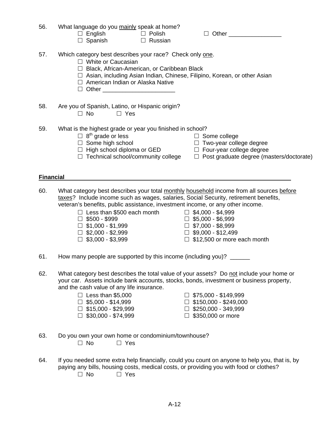- 56. What language do you mainly speak at home?
	- $\Box$  English  $\Box$  Polish  $\Box$  Other
	- $\Box$  Spanish  $\Box$  Russian

- 57. Which category best describes your race? Check only one.
	- □ White or Caucasian
	- □ Black, African-American, or Caribbean Black
	- $\Box$  Asian, including Asian Indian, Chinese, Filipino, Korean, or other Asian
	- □ American Indian or Alaska Native
	- $\Box$  Other  $\_\_$
- 58. Are you of Spanish, Latino, or Hispanic origin?  $\square$  No  $\square$  Yes
- 59. What is the highest grade or year you finished in school?
- $\Box$  8<sup>th</sup> grade or less  $\Box$  Some college
	-
- 
- $\Box$  Some high school  $\Box$  Two-year college degree
- $\Box$  High school diploma or GED  $\Box$  Four-year college degree
- 
- $\Box$  Technical school/community college  $\Box$  Post graduate degree (masters/doctorate)

#### **Financial**

60. What category best describes your total monthly household income from all sources before taxes? Include income such as wages, salaries, Social Security, retirement benefits, veteran's benefits, public assistance, investment income, or any other income.

- $\Box$  Less than \$500 each month  $\Box$  \$4,000 \$4,999
- 
- $\Box$  \$1,000 \$1,999  $\Box$  \$7,000 \$8,999
- $\Box$  \$2,000 \$2,999  $\Box$  \$9,000 \$12,499
- 
- 
- $\Box$  \$500 \$999<br> $\Box$  \$1.000 \$1.999<br> $\Box$  \$7.000 \$8.999
	-
	-
- $\Box$  \$3,000 \$3,999  $\Box$  \$12,500 or more each month
- 61. How many people are supported by this income (including you)? \_\_\_\_\_\_
- 62. What category best describes the total value of your assets? Do not include your home or your car. Assets include bank accounts, stocks, bonds, investment or business property, and the cash value of any life insurance.
	- $\Box$  Less than \$5,000  $\Box$  \$75,000 \$149,999
	- $\Box$  \$5,000 \$14,999  $\Box$  \$150,000 \$249,000
	- $\Box$  \$15,000 \$29,999  $\Box$  \$250,000 349,999
	- $\Box$  \$30,000 \$74,999  $\Box$  \$350,000 or more
- 
- 
- 
- 63. Do you own your own home or condominium/townhouse?  $\square$  No  $\square$  Yes
- 64. If you needed some extra help financially, could you count on anyone to help you, that is, by paying any bills, housing costs, medical costs, or providing you with food or clothes?  $\square$  No  $\square$  Yes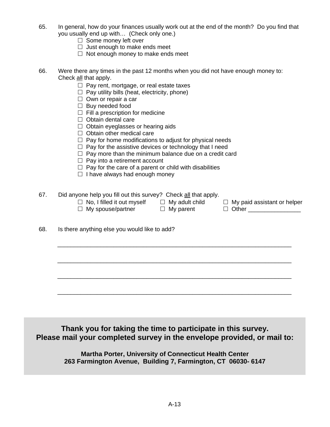- 65. In general, how do your finances usually work out at the end of the month? Do you find that you usually end up with… (Check only one.)
	- $\Box$  Some money left over
	- $\Box$  Just enough to make ends meet
	- $\Box$  Not enough money to make ends meet
- 66. Were there any times in the past 12 months when you did not have enough money to: Check all that apply.
	- $\Box$  Pay rent, mortgage, or real estate taxes
	- $\Box$  Pay utility bills (heat, electricity, phone)
	- $\Box$  Own or repair a car
	- $\Box$  Buy needed food
	- $\Box$  Fill a prescription for medicine
	- $\Box$  Obtain dental care
	- $\Box$  Obtain eyeglasses or hearing aids
	- $\Box$  Obtain other medical care
	- $\Box$  Pay for home modifications to adjust for physical needs
	- $\Box$  Pay for the assistive devices or technology that I need
	- $\Box$  Pay more than the minimum balance due on a credit card
	- $\Box$  Pay into a retirement account
	- $\Box$  Pay for the care of a parent or child with disabilities
	- $\Box$  I have always had enough money

## 67. Did anyone help you fill out this survey? Check all that apply.

- $\Box$  No, I filled it out myself  $\Box$  My adult child  $\Box$  My paid assistant or helper
	-

\_\_\_\_\_\_\_\_\_\_\_\_\_\_\_\_\_\_\_\_\_\_\_\_\_\_\_\_\_\_\_\_\_\_\_\_\_\_\_\_\_\_\_\_\_\_\_\_\_\_\_\_\_\_\_\_\_\_\_\_\_\_\_\_\_\_\_\_\_\_\_

\_\_\_\_\_\_\_\_\_\_\_\_\_\_\_\_\_\_\_\_\_\_\_\_\_\_\_\_\_\_\_\_\_\_\_\_\_\_\_\_\_\_\_\_\_\_\_\_\_\_\_\_\_\_\_\_\_\_\_\_\_\_\_\_\_\_\_\_\_\_\_

\_\_\_\_\_\_\_\_\_\_\_\_\_\_\_\_\_\_\_\_\_\_\_\_\_\_\_\_\_\_\_\_\_\_\_\_\_\_\_\_\_\_\_\_\_\_\_\_\_\_\_\_\_\_\_\_\_\_\_\_\_\_\_\_\_\_\_\_\_\_\_

\_\_\_\_\_\_\_\_\_\_\_\_\_\_\_\_\_\_\_\_\_\_\_\_\_\_\_\_\_\_\_\_\_\_\_\_\_\_\_\_\_\_\_\_\_\_\_\_\_\_\_\_\_\_\_\_\_\_\_\_\_\_\_\_\_\_\_\_\_\_\_

- 
- $\Box$  My spouse/partner  $\Box$  My parent  $\Box$  Other  $\Box$

68. Is there anything else you would like to add?

**Thank you for taking the time to participate in this survey. Please mail your completed survey in the envelope provided, or mail to:** 

> **Martha Porter, University of Connecticut Health Center 263 Farmington Avenue, Building 7, Farmington, CT 06030- 6147**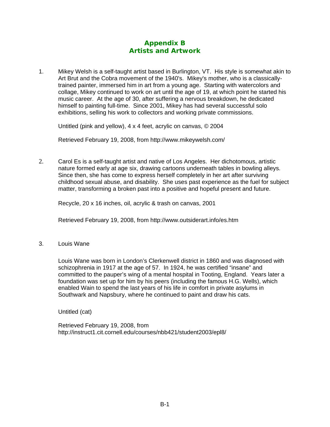# **Appendix B Artists and Artwork**

1. Mikey Welsh is a self-taught artist based in Burlington, VT. His style is somewhat akin to Art Brut and the Cobra movement of the 1940's. Mikey's mother, who is a classicallytrained painter, immersed him in art from a young age. Starting with watercolors and collage, Mikey continued to work on art until the age of 19, at which point he started his music career. At the age of 30, after suffering a nervous breakdown, he dedicated himself to painting full-time. Since 2001, Mikey has had several successful solo exhibitions, selling his work to collectors and working private commissions.

Untitled (pink and yellow), 4 x 4 feet, acrylic on canvas, © 2004

Retrieved February 19, 2008, from http://www.mikeywelsh.com/

2. Carol Es is a self-taught artist and native of Los Angeles. Her dichotomous, artistic nature formed early at age six, drawing cartoons underneath tables in bowling alleys. Since then, she has come to express herself completely in her art after surviving childhood sexual abuse, and disability. She uses past experience as the fuel for subject matter, transforming a broken past into a positive and hopeful present and future.

Recycle, 20 x 16 inches, oil, acrylic & trash on canvas, 2001

Retrieved February 19, 2008, from<http://www.outsiderart.info/es.htm>

3. Louis Wane

Louis Wane was born in London's Clerkenwell district in 1860 and was diagnosed with schizophrenia in 1917 at the age of 57. In 1924, he was certified "insane" and committed to the pauper's wing of a mental hospital in Tooting, England. Years later a foundation was set up for him by his peers (including the famous H.G. Wells), which enabled Wain to spend the last years of his life in comfort in private asylums in Southwark and Napsbury, where he continued to paint and draw his cats.

Untitled (cat)

Retrieved February 19, 2008, from <http://instruct1.cit.cornell.edu/courses/nbb421/student2003/epl8/>